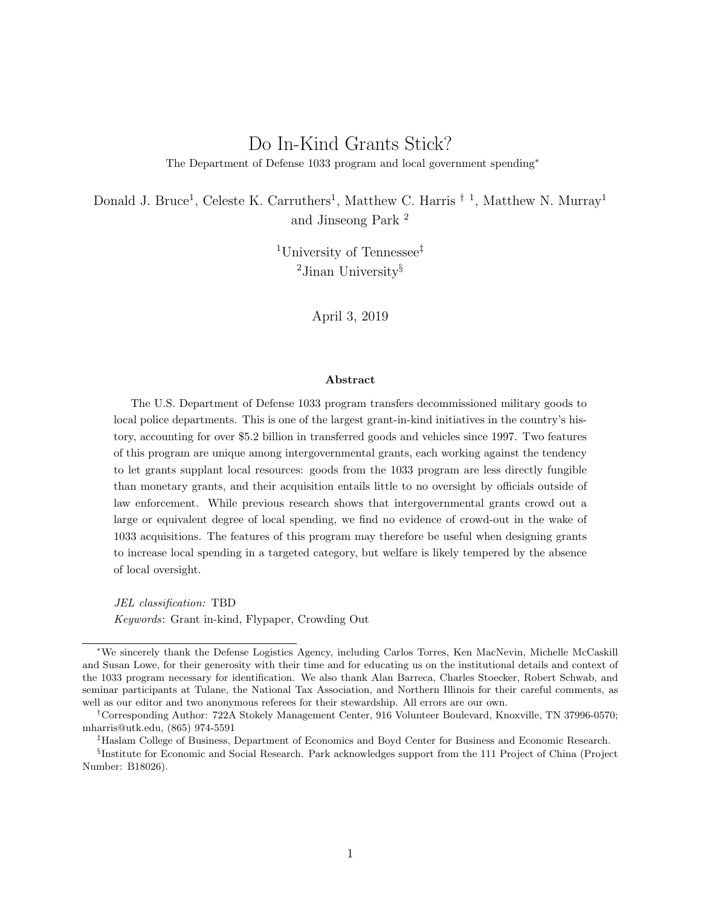# Do In-Kind Grants Stick?

The Department of Defense 1033 program and local government spending<sup>∗</sup>

Donald J. Bruce<sup>1</sup>, Celeste K. Carruthers<sup>1</sup>, Matthew C. Harris <sup>† 1</sup>, Matthew N. Murray<sup>1</sup> and Jinseong Park <sup>2</sup>

> <sup>1</sup>University of Tennessee‡ <sup>2</sup>Jinan University§

> > April 3, 2019

#### Abstract

The U.S. Department of Defense 1033 program transfers decommissioned military goods to local police departments. This is one of the largest grant-in-kind initiatives in the country's history, accounting for over \$5.2 billion in transferred goods and vehicles since 1997. Two features of this program are unique among intergovernmental grants, each working against the tendency to let grants supplant local resources: goods from the 1033 program are less directly fungible than monetary grants, and their acquisition entails little to no oversight by officials outside of law enforcement. While previous research shows that intergovernmental grants crowd out a large or equivalent degree of local spending, we find no evidence of crowd-out in the wake of 1033 acquisitions. The features of this program may therefore be useful when designing grants to increase local spending in a targeted category, but welfare is likely tempered by the absence of local oversight.

JEL classification: TBD Keywords: Grant in-kind, Flypaper, Crowding Out

<sup>∗</sup>We sincerely thank the Defense Logistics Agency, including Carlos Torres, Ken MacNevin, Michelle McCaskill and Susan Lowe, for their generosity with their time and for educating us on the institutional details and context of the 1033 program necessary for identification. We also thank Alan Barreca, Charles Stoecker, Robert Schwab, and seminar participants at Tulane, the National Tax Association, and Northern Illinois for their careful comments, as well as our editor and two anonymous referees for their stewardship. All errors are our own.

<sup>†</sup>Corresponding Author: 722A Stokely Management Center, 916 Volunteer Boulevard, Knoxville, TN 37996-0570; mharris@utk.edu, (865) 974-5591

<sup>‡</sup>Haslam College of Business, Department of Economics and Boyd Center for Business and Economic Research.

<sup>§</sup> Institute for Economic and Social Research. Park acknowledges support from the 111 Project of China (Project Number: B18026).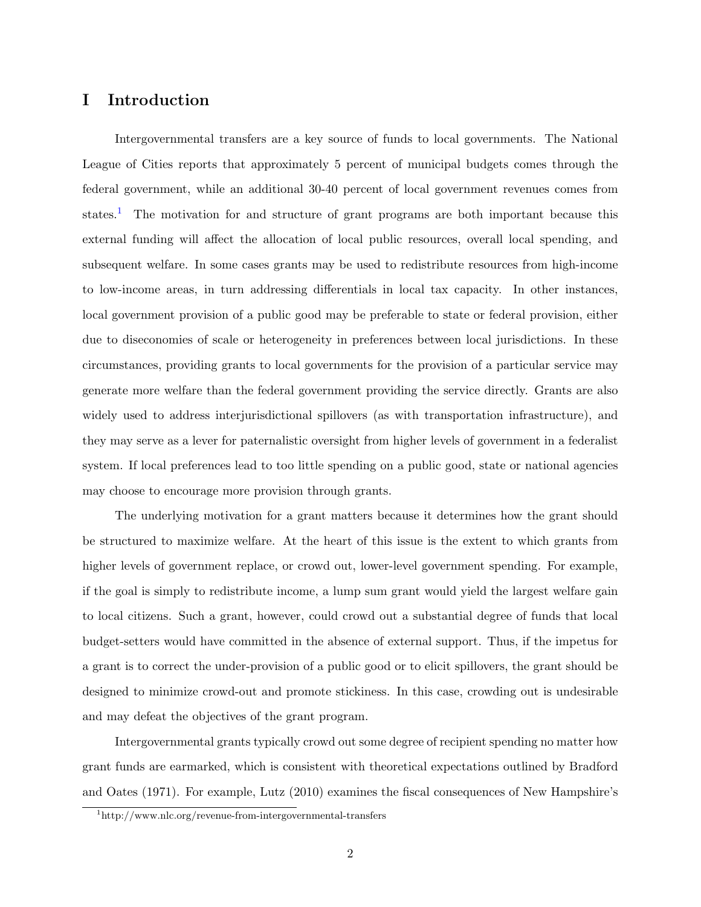# I Introduction

Intergovernmental transfers are a key source of funds to local governments. The National League of Cities reports that approximately 5 percent of municipal budgets comes through the federal government, while an additional 30-40 percent of local government revenues comes from states.<sup>[1](#page-1-0)</sup> The motivation for and structure of grant programs are both important because this external funding will affect the allocation of local public resources, overall local spending, and subsequent welfare. In some cases grants may be used to redistribute resources from high-income to low-income areas, in turn addressing differentials in local tax capacity. In other instances, local government provision of a public good may be preferable to state or federal provision, either due to diseconomies of scale or heterogeneity in preferences between local jurisdictions. In these circumstances, providing grants to local governments for the provision of a particular service may generate more welfare than the federal government providing the service directly. Grants are also widely used to address interjurisdictional spillovers (as with transportation infrastructure), and they may serve as a lever for paternalistic oversight from higher levels of government in a federalist system. If local preferences lead to too little spending on a public good, state or national agencies may choose to encourage more provision through grants.

The underlying motivation for a grant matters because it determines how the grant should be structured to maximize welfare. At the heart of this issue is the extent to which grants from higher levels of government replace, or crowd out, lower-level government spending. For example, if the goal is simply to redistribute income, a lump sum grant would yield the largest welfare gain to local citizens. Such a grant, however, could crowd out a substantial degree of funds that local budget-setters would have committed in the absence of external support. Thus, if the impetus for a grant is to correct the under-provision of a public good or to elicit spillovers, the grant should be designed to minimize crowd-out and promote stickiness. In this case, crowding out is undesirable and may defeat the objectives of the grant program.

Intergovernmental grants typically crowd out some degree of recipient spending no matter how grant funds are earmarked, which is consistent with theoretical expectations outlined by [Bradford](#page-28-0) [and Oates](#page-28-0) [\(1971\)](#page-28-0). For example, [Lutz](#page-29-0) [\(2010\)](#page-29-0) examines the fiscal consequences of New Hampshire's

<span id="page-1-0"></span><sup>1</sup>http://www.nlc.org/revenue-from-intergovernmental-transfers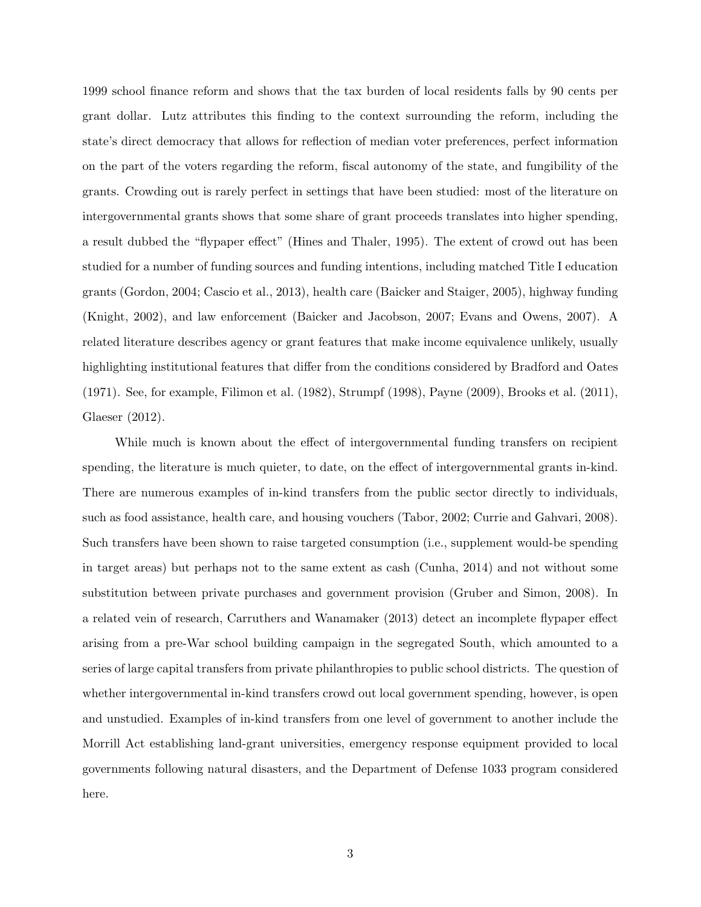1999 school finance reform and shows that the tax burden of local residents falls by 90 cents per grant dollar. Lutz attributes this finding to the context surrounding the reform, including the state's direct democracy that allows for reflection of median voter preferences, perfect information on the part of the voters regarding the reform, fiscal autonomy of the state, and fungibility of the grants. Crowding out is rarely perfect in settings that have been studied: most of the literature on intergovernmental grants shows that some share of grant proceeds translates into higher spending, a result dubbed the "flypaper effect" [\(Hines and Thaler,](#page-29-1) [1995\)](#page-29-1). The extent of crowd out has been studied for a number of funding sources and funding intentions, including matched Title I education grants [\(Gordon,](#page-28-1) [2004;](#page-28-1) [Cascio et al.,](#page-28-2) [2013\)](#page-28-2), health care [\(Baicker and Staiger,](#page-28-3) [2005\)](#page-28-3), highway funding [\(Knight,](#page-29-2) [2002\)](#page-29-2), and law enforcement [\(Baicker and Jacobson,](#page-27-0) [2007;](#page-27-0) [Evans and Owens,](#page-28-4) [2007\)](#page-28-4). A related literature describes agency or grant features that make income equivalence unlikely, usually highlighting institutional features that differ from the conditions considered by [Bradford and Oates](#page-28-0) [\(1971\)](#page-28-0). See, for example, [Filimon et al.](#page-28-5) [\(1982\)](#page-28-5), [Strumpf](#page-29-3) [\(1998\)](#page-29-3), [Payne](#page-29-4) [\(2009\)](#page-29-4), [Brooks et al.](#page-28-6) [\(2011\)](#page-28-6), [Glaeser](#page-28-7) [\(2012\)](#page-28-7).

While much is known about the effect of intergovernmental funding transfers on recipient spending, the literature is much quieter, to date, on the effect of intergovernmental grants in-kind. There are numerous examples of in-kind transfers from the public sector directly to individuals, such as food assistance, health care, and housing vouchers [\(Tabor,](#page-30-0) [2002;](#page-30-0) [Currie and Gahvari,](#page-28-8) [2008\)](#page-28-8). Such transfers have been shown to raise targeted consumption (i.e., supplement would-be spending in target areas) but perhaps not to the same extent as cash [\(Cunha,](#page-28-9) [2014\)](#page-28-9) and not without some substitution between private purchases and government provision [\(Gruber and Simon,](#page-29-5) [2008\)](#page-29-5). In a related vein of research, [Carruthers and Wanamaker](#page-28-10) [\(2013\)](#page-28-10) detect an incomplete flypaper effect arising from a pre-War school building campaign in the segregated South, which amounted to a series of large capital transfers from private philanthropies to public school districts. The question of whether intergovernmental in-kind transfers crowd out local government spending, however, is open and unstudied. Examples of in-kind transfers from one level of government to another include the Morrill Act establishing land-grant universities, emergency response equipment provided to local governments following natural disasters, and the Department of Defense 1033 program considered here.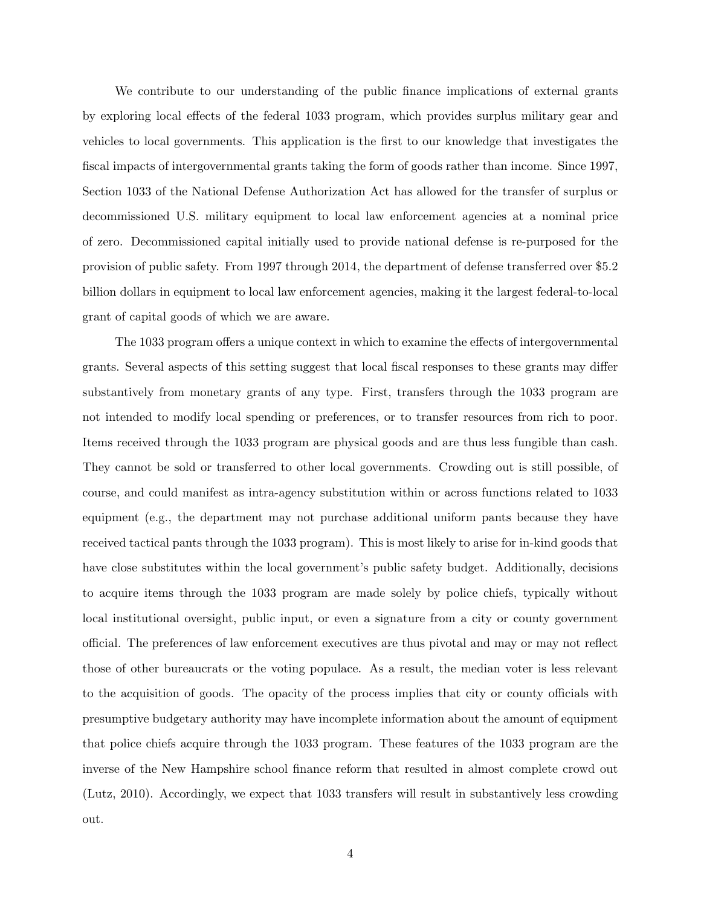We contribute to our understanding of the public finance implications of external grants by exploring local effects of the federal 1033 program, which provides surplus military gear and vehicles to local governments. This application is the first to our knowledge that investigates the fiscal impacts of intergovernmental grants taking the form of goods rather than income. Since 1997, Section 1033 of the National Defense Authorization Act has allowed for the transfer of surplus or decommissioned U.S. military equipment to local law enforcement agencies at a nominal price of zero. Decommissioned capital initially used to provide national defense is re-purposed for the provision of public safety. From 1997 through 2014, the department of defense transferred over \$5.2 billion dollars in equipment to local law enforcement agencies, making it the largest federal-to-local grant of capital goods of which we are aware.

The 1033 program offers a unique context in which to examine the effects of intergovernmental grants. Several aspects of this setting suggest that local fiscal responses to these grants may differ substantively from monetary grants of any type. First, transfers through the 1033 program are not intended to modify local spending or preferences, or to transfer resources from rich to poor. Items received through the 1033 program are physical goods and are thus less fungible than cash. They cannot be sold or transferred to other local governments. Crowding out is still possible, of course, and could manifest as intra-agency substitution within or across functions related to 1033 equipment (e.g., the department may not purchase additional uniform pants because they have received tactical pants through the 1033 program). This is most likely to arise for in-kind goods that have close substitutes within the local government's public safety budget. Additionally, decisions to acquire items through the 1033 program are made solely by police chiefs, typically without local institutional oversight, public input, or even a signature from a city or county government official. The preferences of law enforcement executives are thus pivotal and may or may not reflect those of other bureaucrats or the voting populace. As a result, the median voter is less relevant to the acquisition of goods. The opacity of the process implies that city or county officials with presumptive budgetary authority may have incomplete information about the amount of equipment that police chiefs acquire through the 1033 program. These features of the 1033 program are the inverse of the New Hampshire school finance reform that resulted in almost complete crowd out [\(Lutz,](#page-29-0) [2010\)](#page-29-0). Accordingly, we expect that 1033 transfers will result in substantively less crowding out.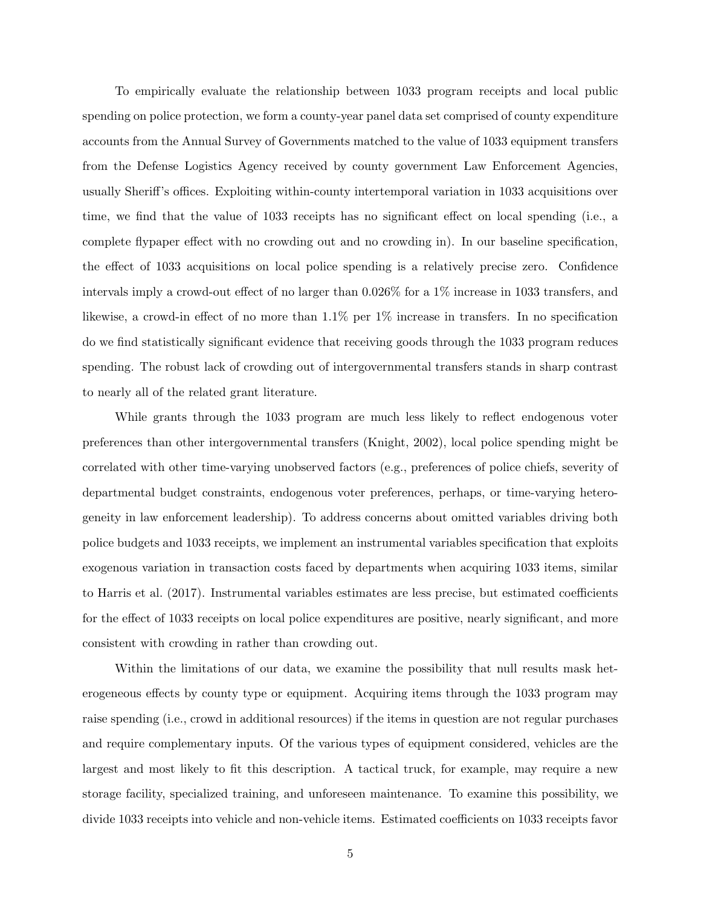To empirically evaluate the relationship between 1033 program receipts and local public spending on police protection, we form a county-year panel data set comprised of county expenditure accounts from the Annual Survey of Governments matched to the value of 1033 equipment transfers from the Defense Logistics Agency received by county government Law Enforcement Agencies, usually Sheriff's offices. Exploiting within-county intertemporal variation in 1033 acquisitions over time, we find that the value of 1033 receipts has no significant effect on local spending (i.e., a complete flypaper effect with no crowding out and no crowding in). In our baseline specification, the effect of 1033 acquisitions on local police spending is a relatively precise zero. Confidence intervals imply a crowd-out effect of no larger than 0.026% for a 1% increase in 1033 transfers, and likewise, a crowd-in effect of no more than 1.1% per 1% increase in transfers. In no specification do we find statistically significant evidence that receiving goods through the 1033 program reduces spending. The robust lack of crowding out of intergovernmental transfers stands in sharp contrast to nearly all of the related grant literature.

While grants through the 1033 program are much less likely to reflect endogenous voter preferences than other intergovernmental transfers [\(Knight,](#page-29-2) [2002\)](#page-29-2), local police spending might be correlated with other time-varying unobserved factors (e.g., preferences of police chiefs, severity of departmental budget constraints, endogenous voter preferences, perhaps, or time-varying heterogeneity in law enforcement leadership). To address concerns about omitted variables driving both police budgets and 1033 receipts, we implement an instrumental variables specification that exploits exogenous variation in transaction costs faced by departments when acquiring 1033 items, similar to [Harris et al.](#page-29-6) [\(2017\)](#page-29-6). Instrumental variables estimates are less precise, but estimated coefficients for the effect of 1033 receipts on local police expenditures are positive, nearly significant, and more consistent with crowding in rather than crowding out.

Within the limitations of our data, we examine the possibility that null results mask heterogeneous effects by county type or equipment. Acquiring items through the 1033 program may raise spending (i.e., crowd in additional resources) if the items in question are not regular purchases and require complementary inputs. Of the various types of equipment considered, vehicles are the largest and most likely to fit this description. A tactical truck, for example, may require a new storage facility, specialized training, and unforeseen maintenance. To examine this possibility, we divide 1033 receipts into vehicle and non-vehicle items. Estimated coefficients on 1033 receipts favor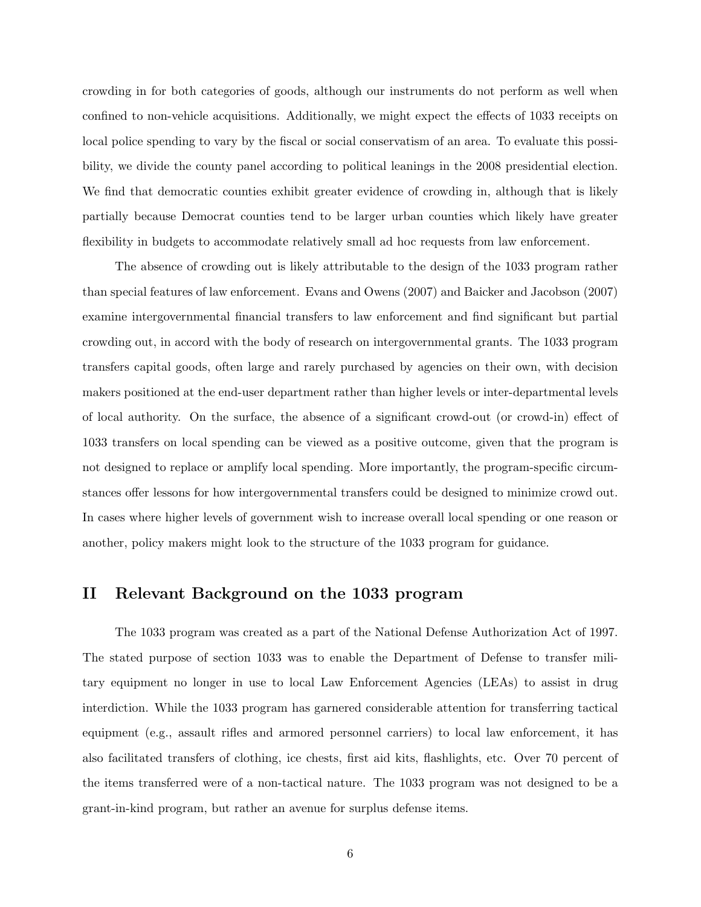crowding in for both categories of goods, although our instruments do not perform as well when confined to non-vehicle acquisitions. Additionally, we might expect the effects of 1033 receipts on local police spending to vary by the fiscal or social conservatism of an area. To evaluate this possibility, we divide the county panel according to political leanings in the 2008 presidential election. We find that democratic counties exhibit greater evidence of crowding in, although that is likely partially because Democrat counties tend to be larger urban counties which likely have greater flexibility in budgets to accommodate relatively small ad hoc requests from law enforcement.

The absence of crowding out is likely attributable to the design of the 1033 program rather than special features of law enforcement. [Evans and Owens](#page-28-4) [\(2007\)](#page-28-4) and [Baicker and Jacobson](#page-27-0) [\(2007\)](#page-27-0) examine intergovernmental financial transfers to law enforcement and find significant but partial crowding out, in accord with the body of research on intergovernmental grants. The 1033 program transfers capital goods, often large and rarely purchased by agencies on their own, with decision makers positioned at the end-user department rather than higher levels or inter-departmental levels of local authority. On the surface, the absence of a significant crowd-out (or crowd-in) effect of 1033 transfers on local spending can be viewed as a positive outcome, given that the program is not designed to replace or amplify local spending. More importantly, the program-specific circumstances offer lessons for how intergovernmental transfers could be designed to minimize crowd out. In cases where higher levels of government wish to increase overall local spending or one reason or another, policy makers might look to the structure of the 1033 program for guidance.

# II Relevant Background on the 1033 program

The 1033 program was created as a part of the National Defense Authorization Act of 1997. The stated purpose of section 1033 was to enable the Department of Defense to transfer military equipment no longer in use to local Law Enforcement Agencies (LEAs) to assist in drug interdiction. While the 1033 program has garnered considerable attention for transferring tactical equipment (e.g., assault rifles and armored personnel carriers) to local law enforcement, it has also facilitated transfers of clothing, ice chests, first aid kits, flashlights, etc. Over 70 percent of the items transferred were of a non-tactical nature. The 1033 program was not designed to be a grant-in-kind program, but rather an avenue for surplus defense items.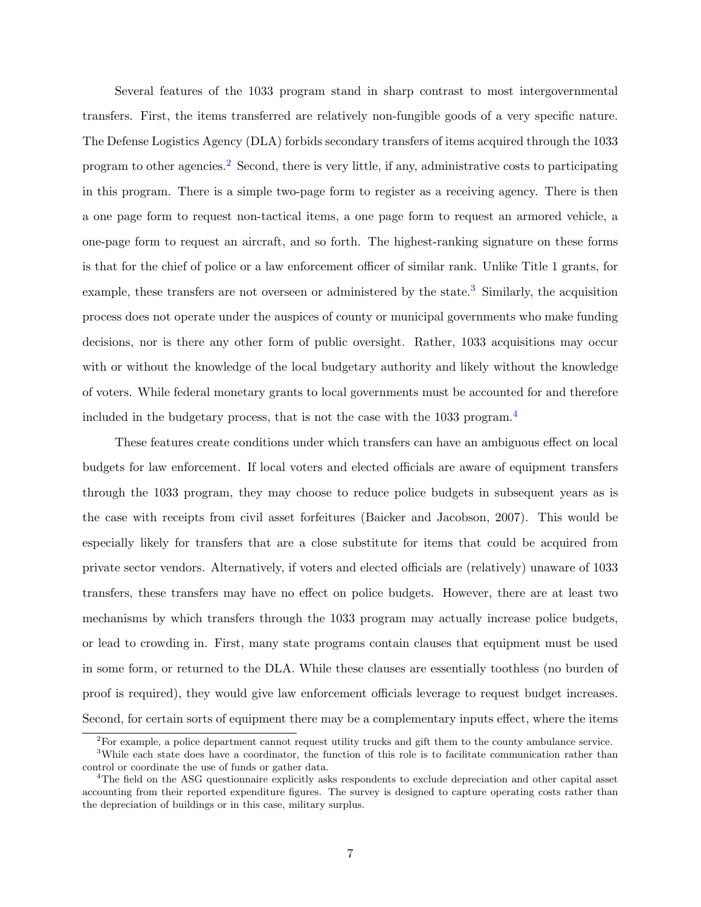Several features of the 1033 program stand in sharp contrast to most intergovernmental transfers. First, the items transferred are relatively non-fungible goods of a very specific nature. The Defense Logistics Agency (DLA) forbids secondary transfers of items acquired through the 1033 program to other agencies.<sup>[2](#page-6-0)</sup> Second, there is very little, if any, administrative costs to participating in this program. There is a simple two-page form to register as a receiving agency. There is then a one page form to request non-tactical items, a one page form to request an armored vehicle, a one-page form to request an aircraft, and so forth. The highest-ranking signature on these forms is that for the chief of police or a law enforcement officer of similar rank. Unlike Title 1 grants, for example, these transfers are not overseen or administered by the state.<sup>[3](#page-6-1)</sup> Similarly, the acquisition process does not operate under the auspices of county or municipal governments who make funding decisions, nor is there any other form of public oversight. Rather, 1033 acquisitions may occur with or without the knowledge of the local budgetary authority and likely without the knowledge of voters. While federal monetary grants to local governments must be accounted for and therefore included in the budgetary process, that is not the case with the 1033 program.<sup>[4](#page-6-2)</sup>

These features create conditions under which transfers can have an ambiguous effect on local budgets for law enforcement. If local voters and elected officials are aware of equipment transfers through the 1033 program, they may choose to reduce police budgets in subsequent years as is the case with receipts from civil asset forfeitures [\(Baicker and Jacobson,](#page-27-0) [2007\)](#page-27-0). This would be especially likely for transfers that are a close substitute for items that could be acquired from private sector vendors. Alternatively, if voters and elected officials are (relatively) unaware of 1033 transfers, these transfers may have no effect on police budgets. However, there are at least two mechanisms by which transfers through the 1033 program may actually increase police budgets, or lead to crowding in. First, many state programs contain clauses that equipment must be used in some form, or returned to the DLA. While these clauses are essentially toothless (no burden of proof is required), they would give law enforcement officials leverage to request budget increases. Second, for certain sorts of equipment there may be a complementary inputs effect, where the items

<span id="page-6-1"></span><span id="page-6-0"></span><sup>2</sup>For example, a police department cannot request utility trucks and gift them to the county ambulance service.

<sup>&</sup>lt;sup>3</sup>While each state does have a coordinator, the function of this role is to facilitate communication rather than control or coordinate the use of funds or gather data.

<span id="page-6-2"></span><sup>4</sup>The field on the ASG questionnaire explicitly asks respondents to exclude depreciation and other capital asset accounting from their reported expenditure figures. The survey is designed to capture operating costs rather than the depreciation of buildings or in this case, military surplus.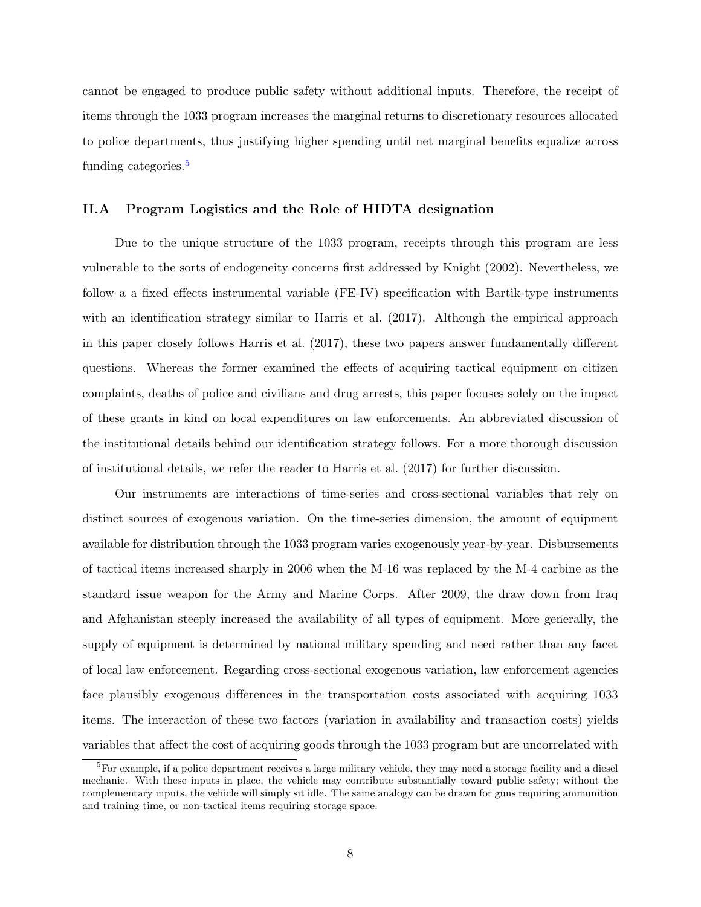cannot be engaged to produce public safety without additional inputs. Therefore, the receipt of items through the 1033 program increases the marginal returns to discretionary resources allocated to police departments, thus justifying higher spending until net marginal benefits equalize across funding categories.<sup>[5](#page-7-0)</sup>

#### II.A Program Logistics and the Role of HIDTA designation

Due to the unique structure of the 1033 program, receipts through this program are less vulnerable to the sorts of endogeneity concerns first addressed by [Knight](#page-29-2) [\(2002\)](#page-29-2). Nevertheless, we follow a a fixed effects instrumental variable (FE-IV) specification with Bartik-type instruments with an identification strategy similar to [Harris et al.](#page-29-6) [\(2017\)](#page-29-6). Although the empirical approach in this paper closely follows [Harris et al.](#page-29-6) [\(2017\)](#page-29-6), these two papers answer fundamentally different questions. Whereas the former examined the effects of acquiring tactical equipment on citizen complaints, deaths of police and civilians and drug arrests, this paper focuses solely on the impact of these grants in kind on local expenditures on law enforcements. An abbreviated discussion of the institutional details behind our identification strategy follows. For a more thorough discussion of institutional details, we refer the reader to [Harris et al.](#page-29-6) [\(2017\)](#page-29-6) for further discussion.

Our instruments are interactions of time-series and cross-sectional variables that rely on distinct sources of exogenous variation. On the time-series dimension, the amount of equipment available for distribution through the 1033 program varies exogenously year-by-year. Disbursements of tactical items increased sharply in 2006 when the M-16 was replaced by the M-4 carbine as the standard issue weapon for the Army and Marine Corps. After 2009, the draw down from Iraq and Afghanistan steeply increased the availability of all types of equipment. More generally, the supply of equipment is determined by national military spending and need rather than any facet of local law enforcement. Regarding cross-sectional exogenous variation, law enforcement agencies face plausibly exogenous differences in the transportation costs associated with acquiring 1033 items. The interaction of these two factors (variation in availability and transaction costs) yields variables that affect the cost of acquiring goods through the 1033 program but are uncorrelated with

<span id="page-7-0"></span> ${}^{5}$ For example, if a police department receives a large military vehicle, they may need a storage facility and a diesel mechanic. With these inputs in place, the vehicle may contribute substantially toward public safety; without the complementary inputs, the vehicle will simply sit idle. The same analogy can be drawn for guns requiring ammunition and training time, or non-tactical items requiring storage space.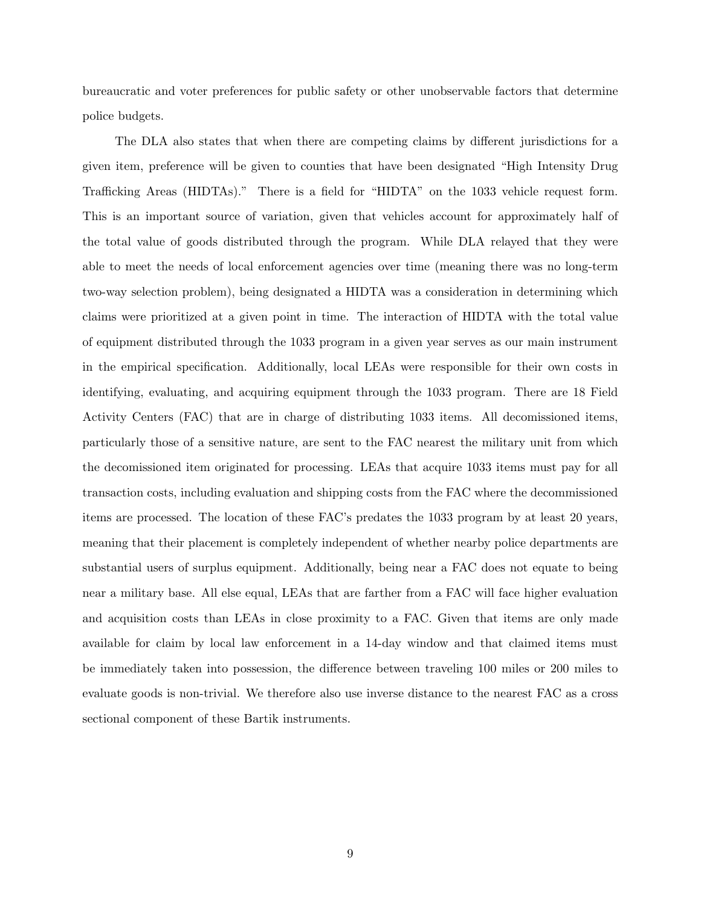bureaucratic and voter preferences for public safety or other unobservable factors that determine police budgets.

The DLA also states that when there are competing claims by different jurisdictions for a given item, preference will be given to counties that have been designated "High Intensity Drug Trafficking Areas (HIDTAs)." There is a field for "HIDTA" on the 1033 vehicle request form. This is an important source of variation, given that vehicles account for approximately half of the total value of goods distributed through the program. While DLA relayed that they were able to meet the needs of local enforcement agencies over time (meaning there was no long-term two-way selection problem), being designated a HIDTA was a consideration in determining which claims were prioritized at a given point in time. The interaction of HIDTA with the total value of equipment distributed through the 1033 program in a given year serves as our main instrument in the empirical specification. Additionally, local LEAs were responsible for their own costs in identifying, evaluating, and acquiring equipment through the 1033 program. There are 18 Field Activity Centers (FAC) that are in charge of distributing 1033 items. All decomissioned items, particularly those of a sensitive nature, are sent to the FAC nearest the military unit from which the decomissioned item originated for processing. LEAs that acquire 1033 items must pay for all transaction costs, including evaluation and shipping costs from the FAC where the decommissioned items are processed. The location of these FAC's predates the 1033 program by at least 20 years, meaning that their placement is completely independent of whether nearby police departments are substantial users of surplus equipment. Additionally, being near a FAC does not equate to being near a military base. All else equal, LEAs that are farther from a FAC will face higher evaluation and acquisition costs than LEAs in close proximity to a FAC. Given that items are only made available for claim by local law enforcement in a 14-day window and that claimed items must be immediately taken into possession, the difference between traveling 100 miles or 200 miles to evaluate goods is non-trivial. We therefore also use inverse distance to the nearest FAC as a cross sectional component of these Bartik instruments.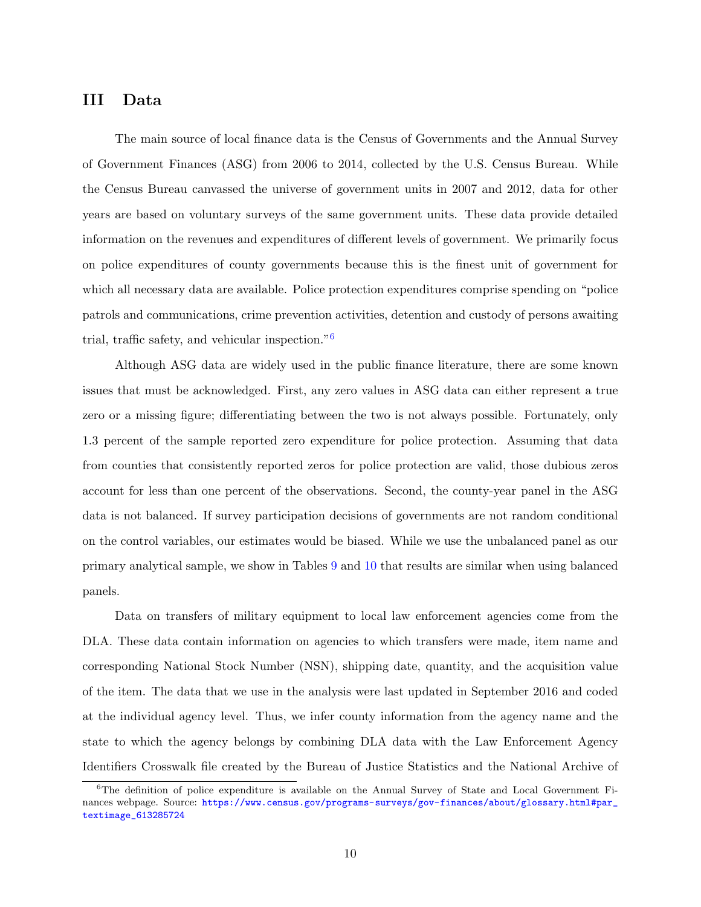# <span id="page-9-1"></span>III Data

The main source of local finance data is the Census of Governments and the Annual Survey of Government Finances (ASG) from 2006 to 2014, collected by the U.S. Census Bureau. While the Census Bureau canvassed the universe of government units in 2007 and 2012, data for other years are based on voluntary surveys of the same government units. These data provide detailed information on the revenues and expenditures of different levels of government. We primarily focus on police expenditures of county governments because this is the finest unit of government for which all necessary data are available. Police protection expenditures comprise spending on "police patrols and communications, crime prevention activities, detention and custody of persons awaiting trial, traffic safety, and vehicular inspection."[6](#page-9-0)

Although ASG data are widely used in the public finance literature, there are some known issues that must be acknowledged. First, any zero values in ASG data can either represent a true zero or a missing figure; differentiating between the two is not always possible. Fortunately, only 1.3 percent of the sample reported zero expenditure for police protection. Assuming that data from counties that consistently reported zeros for police protection are valid, those dubious zeros account for less than one percent of the observations. Second, the county-year panel in the ASG data is not balanced. If survey participation decisions of governments are not random conditional on the control variables, our estimates would be biased. While we use the unbalanced panel as our primary analytical sample, we show in Tables [9](#page-23-0) and [10](#page-23-1) that results are similar when using balanced panels.

Data on transfers of military equipment to local law enforcement agencies come from the DLA. These data contain information on agencies to which transfers were made, item name and corresponding National Stock Number (NSN), shipping date, quantity, and the acquisition value of the item. The data that we use in the analysis were last updated in September 2016 and coded at the individual agency level. Thus, we infer county information from the agency name and the state to which the agency belongs by combining DLA data with the Law Enforcement Agency Identifiers Crosswalk file created by the Bureau of Justice Statistics and the National Archive of

<span id="page-9-0"></span><sup>&</sup>lt;sup>6</sup>The definition of police expenditure is available on the Annual Survey of State and Local Government Finances webpage. Source: [https://www.census.gov/programs-surveys/gov-finances/about/glossary.html#par\\_](https://www.census.gov/programs-surveys/gov-finances/about/glossary.html#par_textimage_613285724) [textimage\\_613285724](https://www.census.gov/programs-surveys/gov-finances/about/glossary.html#par_textimage_613285724)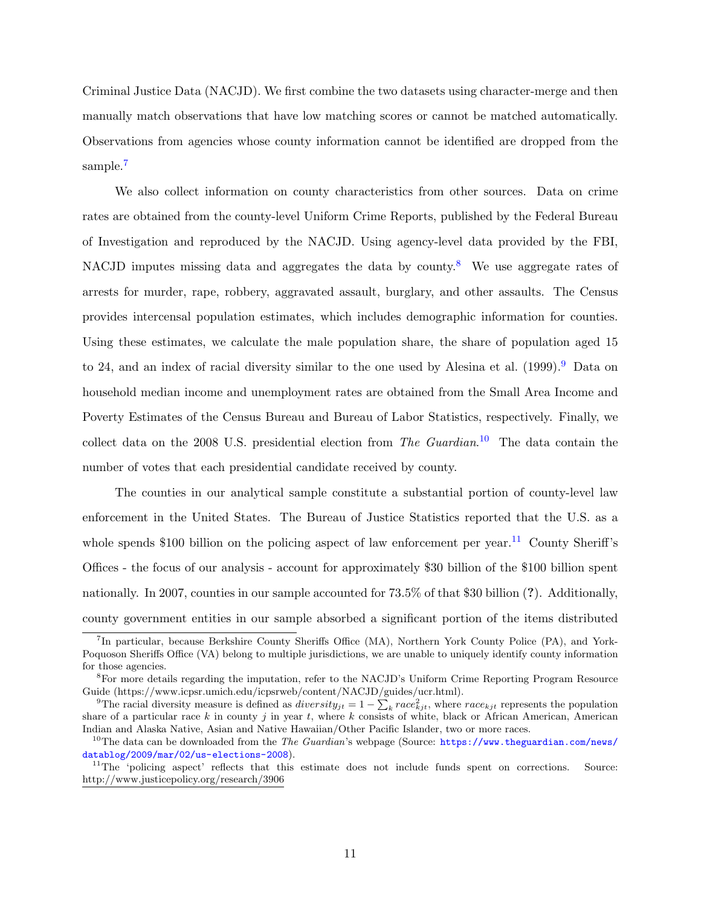Criminal Justice Data (NACJD). We first combine the two datasets using character-merge and then manually match observations that have low matching scores or cannot be matched automatically. Observations from agencies whose county information cannot be identified are dropped from the sample.<sup>[7](#page-10-0)</sup>

We also collect information on county characteristics from other sources. Data on crime rates are obtained from the county-level Uniform Crime Reports, published by the Federal Bureau of Investigation and reproduced by the NACJD. Using agency-level data provided by the FBI, NACJD imputes missing data and aggregates the data by county.<sup>[8](#page-10-1)</sup> We use aggregate rates of arrests for murder, rape, robbery, aggravated assault, burglary, and other assaults. The Census provides intercensal population estimates, which includes demographic information for counties. Using these estimates, we calculate the male population share, the share of population aged 15 to 24, and an index of racial diversity similar to the one used by [Alesina et al.](#page-27-1)  $(1999)$ .<sup>[9](#page-10-2)</sup> Data on household median income and unemployment rates are obtained from the Small Area Income and Poverty Estimates of the Census Bureau and Bureau of Labor Statistics, respectively. Finally, we collect data on the 2008 U.S. presidential election from The Guardian.<sup>[10](#page-10-3)</sup> The data contain the number of votes that each presidential candidate received by county.

The counties in our analytical sample constitute a substantial portion of county-level law enforcement in the United States. The Bureau of Justice Statistics reported that the U.S. as a whole spends \$100 billion on the policing aspect of law enforcement per year.<sup>[11](#page-10-4)</sup> County Sheriff's Offices - the focus of our analysis - account for approximately \$30 billion of the \$100 billion spent nationally. In 2007, counties in our sample accounted for 73.5% of that \$30 billion (?). Additionally, county government entities in our sample absorbed a significant portion of the items distributed

<span id="page-10-0"></span><sup>&</sup>lt;sup>7</sup>In particular, because Berkshire County Sheriffs Office (MA), Northern York County Police (PA), and York-Poquoson Sheriffs Office (VA) belong to multiple jurisdictions, we are unable to uniquely identify county information for those agencies.

<span id="page-10-1"></span><sup>8</sup>For more details regarding the imputation, refer to the NACJD's Uniform Crime Reporting Program Resource Guide (https://www.icpsr.umich.edu/icpsrweb/content/NACJD/guides/ucr.html).

<span id="page-10-2"></span><sup>&</sup>lt;sup>9</sup>The racial diversity measure is defined as  $diversity_{jt} = 1 - \sum_k race_{kjt}^2$ , where  $race_{kjt}$  represents the population share of a particular race k in county j in year t, where k consists of white, black or African American, American Indian and Alaska Native, Asian and Native Hawaiian/Other Pacific Islander, two or more races.

<span id="page-10-3"></span><sup>&</sup>lt;sup>10</sup>The data can be downloaded from the *The Guardian*'s webpage (Source:  $https://www.theguardian.com/news/$ [datablog/2009/mar/02/us-elections-2008](https://www.theguardian.com/news/datablog/2009/mar/02/us-elections-2008)).

<span id="page-10-4"></span><sup>&</sup>lt;sup>11</sup>The 'policing aspect' reflects that this estimate does not include funds spent on corrections. Source: http://www.justicepolicy.org/research/3906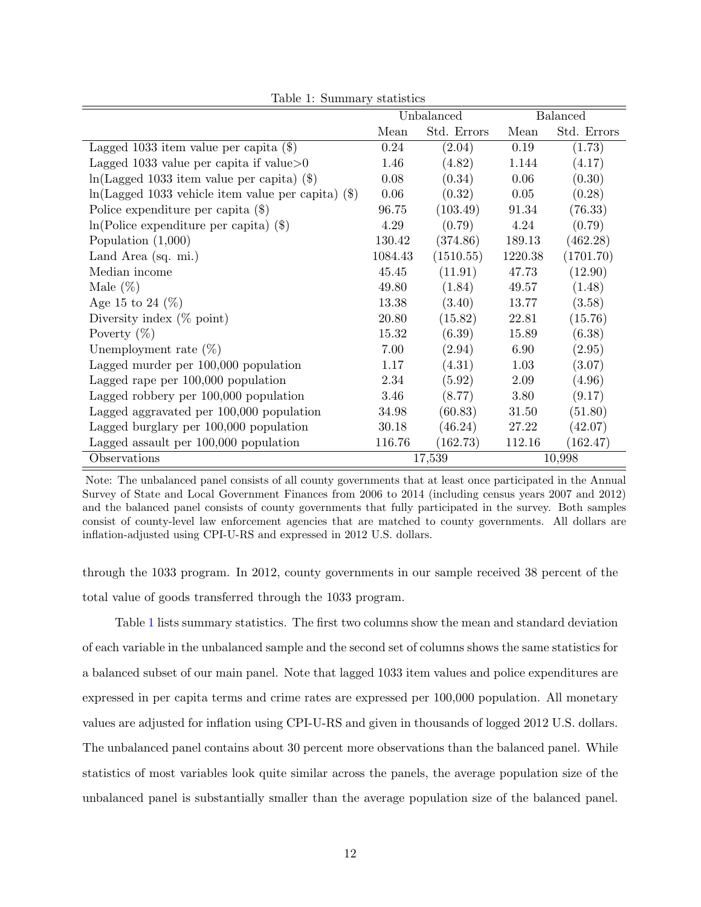|                                                        |         | Unbalanced  |         | <b>Balanced</b> |
|--------------------------------------------------------|---------|-------------|---------|-----------------|
|                                                        | Mean    | Std. Errors | Mean    | Std. Errors     |
| Lagged 1033 item value per capita $(\$)$               | 0.24    | (2.04)      | 0.19    | (1.73)          |
| Lagged 1033 value per capita if value $>0$             | 1.46    | (4.82)      | 1.144   | (4.17)          |
| $ln(Lagger 1033$ item value per capita) (\$)           | 0.08    | (0.34)      | 0.06    | (0.30)          |
| $ln(Lagger 1033$ vehicle item value per capita) $(\$)$ | 0.06    | (0.32)      | 0.05    | (0.28)          |
| Police expenditure per capita $(\$)$                   | 96.75   | (103.49)    | 91.34   | (76.33)         |
| $ln(Police$ expenditure per capita) $(\$)$             | 4.29    | (0.79)      | 4.24    | (0.79)          |
| Population $(1,000)$                                   | 130.42  | (374.86)    | 189.13  | (462.28)        |
| Land Area (sq. mi.)                                    | 1084.43 | (1510.55)   | 1220.38 | (1701.70)       |
| Median income                                          | 45.45   | (11.91)     | 47.73   | (12.90)         |
| Male $(\%)$                                            | 49.80   | (1.84)      | 49.57   | (1.48)          |
| Age 15 to 24 $(\%)$                                    | 13.38   | (3.40)      | 13.77   | (3.58)          |
| Diversity index $(\%$ point)                           | 20.80   | (15.82)     | 22.81   | (15.76)         |
| Poverty $(\%)$                                         | 15.32   | (6.39)      | 15.89   | (6.38)          |
| Unemployment rate $(\%)$                               | 7.00    | (2.94)      | 6.90    | (2.95)          |
| Lagged murder per 100,000 population                   | 1.17    | (4.31)      | 1.03    | (3.07)          |
| Lagged rape per $100,000$ population                   | 2.34    | (5.92)      | 2.09    | (4.96)          |
| Lagged robbery per 100,000 population                  | 3.46    | (8.77)      | 3.80    | (9.17)          |
| Lagged aggravated per 100,000 population               | 34.98   | (60.83)     | 31.50   | (51.80)         |
| Lagged burglary per 100,000 population                 | 30.18   | (46.24)     | 27.22   | (42.07)         |
| Lagged assault per 100,000 population                  | 116.76  | (162.73)    | 112.16  | (162.47)        |
| Observations                                           |         | 17,539      |         | 10,998          |

<span id="page-11-0"></span>Table 1: Summary statistics

Note: The unbalanced panel consists of all county governments that at least once participated in the Annual Survey of State and Local Government Finances from 2006 to 2014 (including census years 2007 and 2012) and the balanced panel consists of county governments that fully participated in the survey. Both samples consist of county-level law enforcement agencies that are matched to county governments. All dollars are inflation-adjusted using CPI-U-RS and expressed in 2012 U.S. dollars.

through the 1033 program. In 2012, county governments in our sample received 38 percent of the total value of goods transferred through the 1033 program.

Table [1](#page-11-0) lists summary statistics. The first two columns show the mean and standard deviation of each variable in the unbalanced sample and the second set of columns shows the same statistics for a balanced subset of our main panel. Note that lagged 1033 item values and police expenditures are expressed in per capita terms and crime rates are expressed per 100,000 population. All monetary values are adjusted for inflation using CPI-U-RS and given in thousands of logged 2012 U.S. dollars. The unbalanced panel contains about 30 percent more observations than the balanced panel. While statistics of most variables look quite similar across the panels, the average population size of the unbalanced panel is substantially smaller than the average population size of the balanced panel.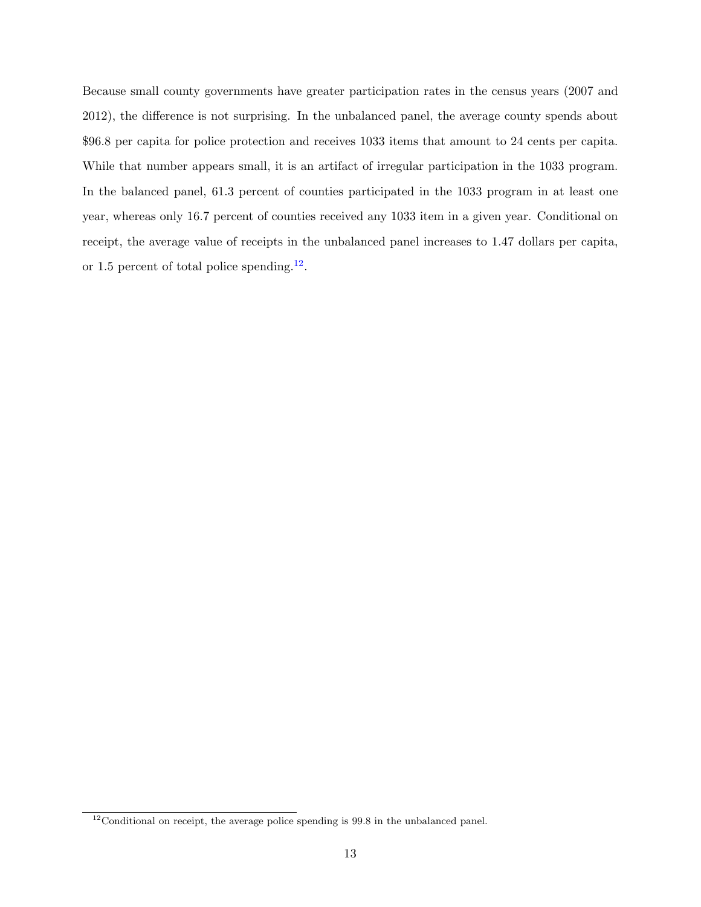Because small county governments have greater participation rates in the census years (2007 and 2012), the difference is not surprising. In the unbalanced panel, the average county spends about \$96.8 per capita for police protection and receives 1033 items that amount to 24 cents per capita. While that number appears small, it is an artifact of irregular participation in the 1033 program. In the balanced panel, 61.3 percent of counties participated in the 1033 program in at least one year, whereas only 16.7 percent of counties received any 1033 item in a given year. Conditional on receipt, the average value of receipts in the unbalanced panel increases to 1.47 dollars per capita, or 1.5 percent of total police spending.<sup>[12](#page-12-0)</sup>.

<span id="page-12-0"></span><sup>&</sup>lt;sup>12</sup>Conditional on receipt, the average police spending is 99.8 in the unbalanced panel.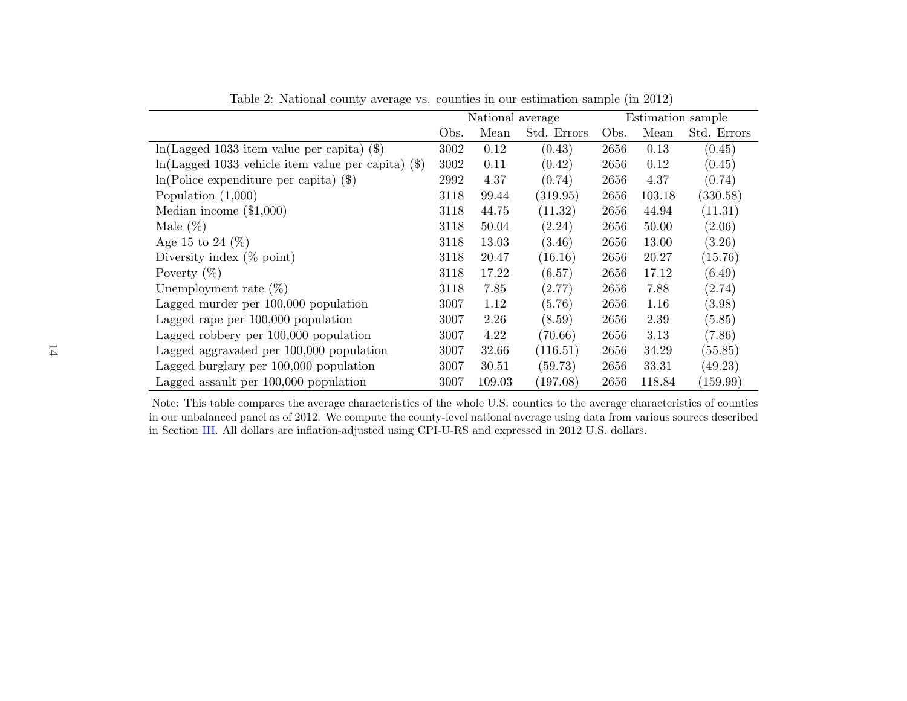|                                                        |      | National average |             |      |        | Estimation sample |  |
|--------------------------------------------------------|------|------------------|-------------|------|--------|-------------------|--|
|                                                        | Obs. | Mean             | Std. Errors | Obs. | Mean   | Std. Errors       |  |
| $ln(Lagger 1033$ item value per capita) (\$)           | 3002 | 0.12             | (0.43)      | 2656 | 0.13   | (0.45)            |  |
| $ln(Lagger 1033$ vehicle item value per capita) $(\$)$ | 3002 | 0.11             | (0.42)      | 2656 | 0.12   | (0.45)            |  |
| $ln(Police$ expenditure per capita) $(\$)$             | 2992 | 4.37             | (0.74)      | 2656 | 4.37   | (0.74)            |  |
| Population $(1,000)$                                   | 3118 | 99.44            | (319.95)    | 2656 | 103.18 | (330.58)          |  |
| Median income $(\$1,000)$                              | 3118 | 44.75            | (11.32)     | 2656 | 44.94  | (11.31)           |  |
| Male $(\%)$                                            | 3118 | 50.04            | (2.24)      | 2656 | 50.00  | (2.06)            |  |
| Age 15 to 24 $(\%)$                                    | 3118 | 13.03            | (3.46)      | 2656 | 13.00  | (3.26)            |  |
| Diversity index $(\%$ point)                           | 3118 | 20.47            | (16.16)     | 2656 | 20.27  | (15.76)           |  |
| Poverty $(\%)$                                         | 3118 | 17.22            | (6.57)      | 2656 | 17.12  | (6.49)            |  |
| Unemployment rate $(\%)$                               | 3118 | 7.85             | (2.77)      | 2656 | 7.88   | (2.74)            |  |
| Lagged murder per 100,000 population                   | 3007 | 1.12             | (5.76)      | 2656 | 1.16   | (3.98)            |  |
| Lagged rape per $100,000$ population                   | 3007 | 2.26             | (8.59)      | 2656 | 2.39   | (5.85)            |  |
| Lagged robbery per 100,000 population                  | 3007 | 4.22             | (70.66)     | 2656 | 3.13   | (7.86)            |  |
| Lagged aggravated per 100,000 population               | 3007 | 32.66            | (116.51)    | 2656 | 34.29  | (55.85)           |  |
| Lagged burglary per 100,000 population                 | 3007 | 30.51            | (59.73)     | 2656 | 33.31  | (49.23)           |  |
| Lagged assault per 100,000 population                  | 3007 | 109.03           | (197.08)    | 2656 | 118.84 | (159.99)          |  |

<span id="page-13-0"></span>Table 2: National county average vs. counties in our estimation sample (in 2012)

Note: This table compares the average characteristics of the whole U.S. counties to the average characteristics of counties in our unbalanced panel as of 2012. We compute the county-level national average using data from various sources describedin Section [III.](#page-9-1) All dollars are inflation-adjusted using CPI-U-RS and expressed in <sup>2012</sup> U.S. dollars.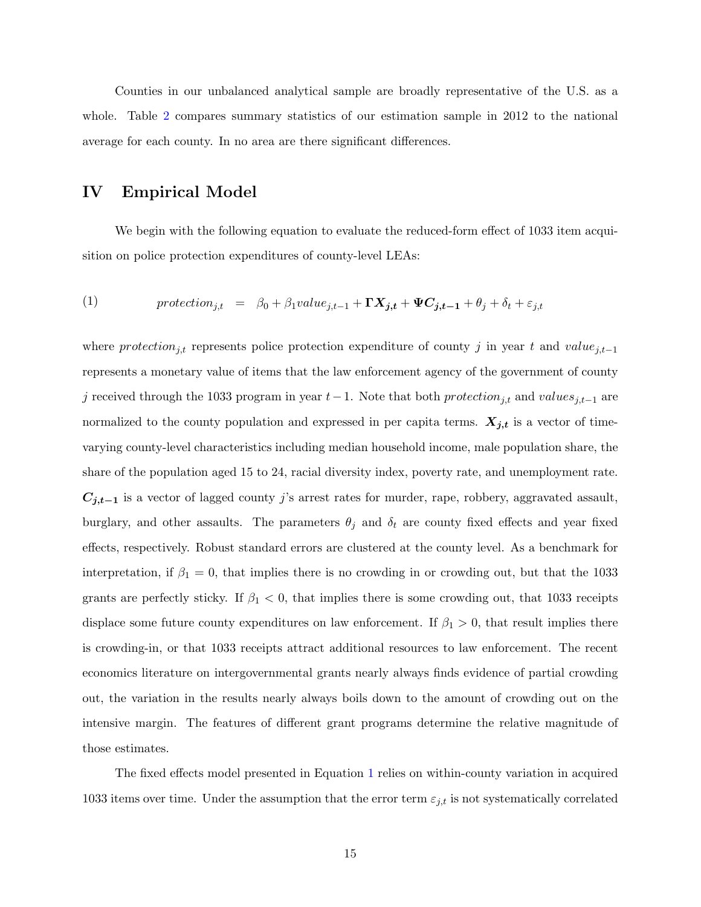Counties in our unbalanced analytical sample are broadly representative of the U.S. as a whole. Table [2](#page-13-0) compares summary statistics of our estimation sample in 2012 to the national average for each county. In no area are there significant differences.

### IV Empirical Model

We begin with the following equation to evaluate the reduced-form effect of 1033 item acquisition on police protection expenditures of county-level LEAs:

<span id="page-14-0"></span>(1) 
$$
protection_{j,t} = \beta_0 + \beta_1 value_{j,t-1} + \mathbf{\Gamma} \mathbf{X}_{j,t} + \mathbf{\Psi} \mathbf{C}_{j,t-1} + \theta_j + \delta_t + \varepsilon_{j,t}
$$

where protection<sub>j,t</sub> represents police protection expenditure of county j in year t and value<sub>j,t−1</sub> represents a monetary value of items that the law enforcement agency of the government of county j received through the 1033 program in year  $t-1$ . Note that both protection<sub>j,t</sub> and values<sub>j,t−1</sub> are normalized to the county population and expressed in per capita terms.  $X_{j,t}$  is a vector of timevarying county-level characteristics including median household income, male population share, the share of the population aged 15 to 24, racial diversity index, poverty rate, and unemployment rate.  $C_{j,t-1}$  is a vector of lagged county j's arrest rates for murder, rape, robbery, aggravated assault, burglary, and other assaults. The parameters  $\theta_j$  and  $\delta_t$  are county fixed effects and year fixed effects, respectively. Robust standard errors are clustered at the county level. As a benchmark for interpretation, if  $\beta_1 = 0$ , that implies there is no crowding in or crowding out, but that the 1033 grants are perfectly sticky. If  $\beta_1 < 0$ , that implies there is some crowding out, that 1033 receipts displace some future county expenditures on law enforcement. If  $\beta_1 > 0$ , that result implies there is crowding-in, or that 1033 receipts attract additional resources to law enforcement. The recent economics literature on intergovernmental grants nearly always finds evidence of partial crowding out, the variation in the results nearly always boils down to the amount of crowding out on the intensive margin. The features of different grant programs determine the relative magnitude of those estimates.

The fixed effects model presented in Equation [1](#page-14-0) relies on within-county variation in acquired 1033 items over time. Under the assumption that the error term  $\varepsilon_{j,t}$  is not systematically correlated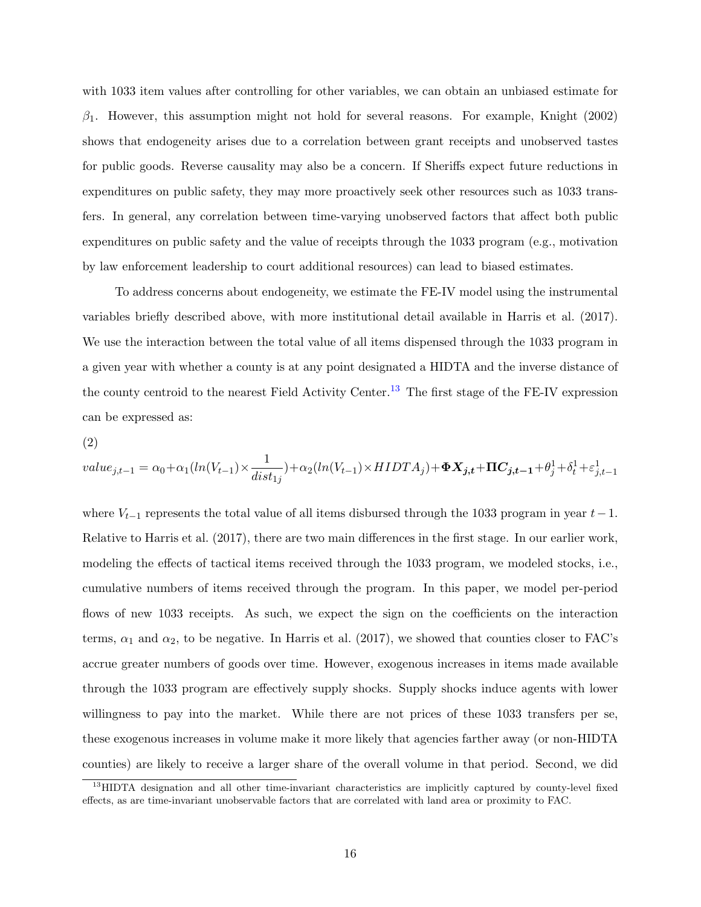with 1033 item values after controlling for other variables, we can obtain an unbiased estimate for  $\beta_1$ . However, this assumption might not hold for several reasons. For example, [Knight](#page-29-2) [\(2002\)](#page-29-2) shows that endogeneity arises due to a correlation between grant receipts and unobserved tastes for public goods. Reverse causality may also be a concern. If Sheriffs expect future reductions in expenditures on public safety, they may more proactively seek other resources such as 1033 transfers. In general, any correlation between time-varying unobserved factors that affect both public expenditures on public safety and the value of receipts through the 1033 program (e.g., motivation by law enforcement leadership to court additional resources) can lead to biased estimates.

To address concerns about endogeneity, we estimate the FE-IV model using the instrumental variables briefly described above, with more institutional detail available in [Harris et al.](#page-29-6) [\(2017\)](#page-29-6). We use the interaction between the total value of all items dispensed through the 1033 program in a given year with whether a county is at any point designated a HIDTA and the inverse distance of the county centroid to the nearest Field Activity Center.<sup>[13](#page-15-0)</sup> The first stage of the FE-IV expression can be expressed as:

(2)

<span id="page-15-1"></span>
$$
value_{j,t-1} = \alpha_0 + \alpha_1(ln(V_{t-1}) \times \frac{1}{dist_{1j}}) + \alpha_2(ln(V_{t-1}) \times HIDTA_j) + \Phi X_{j,t} + \Pi C_{j,t-1} + \theta_j^1 + \delta_t^1 + \varepsilon_{j,t-1}^1
$$

where  $V_{t-1}$  represents the total value of all items disbursed through the 1033 program in year  $t-1$ . Relative to [Harris et al.](#page-29-6) [\(2017\)](#page-29-6), there are two main differences in the first stage. In our earlier work, modeling the effects of tactical items received through the 1033 program, we modeled stocks, i.e., cumulative numbers of items received through the program. In this paper, we model per-period flows of new 1033 receipts. As such, we expect the sign on the coefficients on the interaction terms,  $\alpha_1$  and  $\alpha_2$ , to be negative. In [Harris et al.](#page-29-6) [\(2017\)](#page-29-6), we showed that counties closer to FAC's accrue greater numbers of goods over time. However, exogenous increases in items made available through the 1033 program are effectively supply shocks. Supply shocks induce agents with lower willingness to pay into the market. While there are not prices of these 1033 transfers per se, these exogenous increases in volume make it more likely that agencies farther away (or non-HIDTA counties) are likely to receive a larger share of the overall volume in that period. Second, we did

<span id="page-15-0"></span><sup>&</sup>lt;sup>13</sup>HIDTA designation and all other time-invariant characteristics are implicitly captured by county-level fixed effects, as are time-invariant unobservable factors that are correlated with land area or proximity to FAC.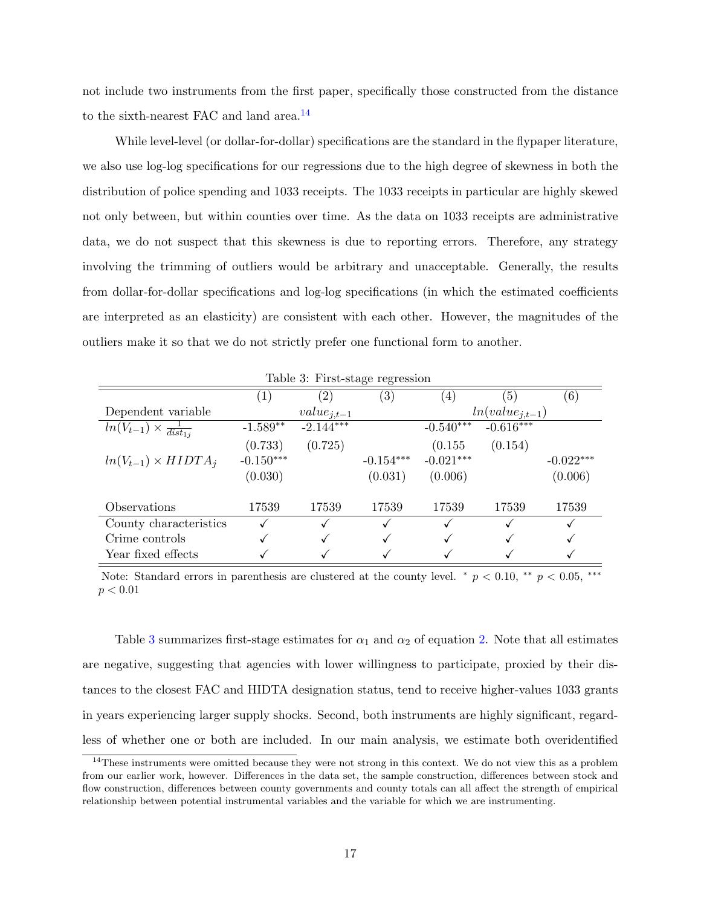not include two instruments from the first paper, specifically those constructed from the distance to the sixth-nearest FAC and land area.<sup>[14](#page-16-0)</sup>

While level-level (or dollar-for-dollar) specifications are the standard in the flypaper literature, we also use log-log specifications for our regressions due to the high degree of skewness in both the distribution of police spending and 1033 receipts. The 1033 receipts in particular are highly skewed not only between, but within counties over time. As the data on 1033 receipts are administrative data, we do not suspect that this skewness is due to reporting errors. Therefore, any strategy involving the trimming of outliers would be arbitrary and unacceptable. Generally, the results from dollar-for-dollar specifications and log-log specifications (in which the estimated coefficients are interpreted as an elasticity) are consistent with each other. However, the magnitudes of the outliers make it so that we do not strictly prefer one functional form to another.

<span id="page-16-1"></span>

|                                          |                  | Table 3: First-stage regression |                   |                   |                     |                   |
|------------------------------------------|------------------|---------------------------------|-------------------|-------------------|---------------------|-------------------|
|                                          | $\left(1\right)$ | $\left( 2\right)$               | $\left( 3\right)$ | $\left( 4\right)$ | (5)                 | $\left( 6\right)$ |
| Dependent variable                       |                  | $value_{j,t-1}$                 |                   |                   | $ln(value_{j,t-1})$ |                   |
| $ln(V_{t-1}) \times \frac{1}{dist_{1i}}$ | $-1.589**$       | $-2.144***$                     |                   | $-0.540***$       | $-0.616***$         |                   |
|                                          | (0.733)          | (0.725)                         |                   | (0.155)           | (0.154)             |                   |
| $ln(V_{t-1}) \times HIDTA_i$             | $-0.150***$      |                                 | $-0.154***$       | $-0.021***$       |                     | $-0.022***$       |
|                                          | (0.030)          |                                 | (0.031)           | (0.006)           |                     | (0.006)           |
| Observations                             | 17539            | 17539                           | 17539             | 17539             | 17539               | 17539             |
| County characteristics                   |                  |                                 |                   |                   |                     |                   |
| Crime controls                           |                  |                                 |                   |                   |                     |                   |
| Year fixed effects                       |                  |                                 |                   |                   |                     |                   |

Note: Standard errors in parenthesis are clustered at the county level. \*  $p < 0.10$ , \*\*  $p < 0.05$ , \*\*\*  $p < 0.01$ 

Table [3](#page-16-1) summarizes first-stage estimates for  $\alpha_1$  and  $\alpha_2$  of equation [2.](#page-15-1) Note that all estimates are negative, suggesting that agencies with lower willingness to participate, proxied by their distances to the closest FAC and HIDTA designation status, tend to receive higher-values 1033 grants in years experiencing larger supply shocks. Second, both instruments are highly significant, regardless of whether one or both are included. In our main analysis, we estimate both overidentified

<span id="page-16-0"></span><sup>&</sup>lt;sup>14</sup>These instruments were omitted because they were not strong in this context. We do not view this as a problem from our earlier work, however. Differences in the data set, the sample construction, differences between stock and flow construction, differences between county governments and county totals can all affect the strength of empirical relationship between potential instrumental variables and the variable for which we are instrumenting.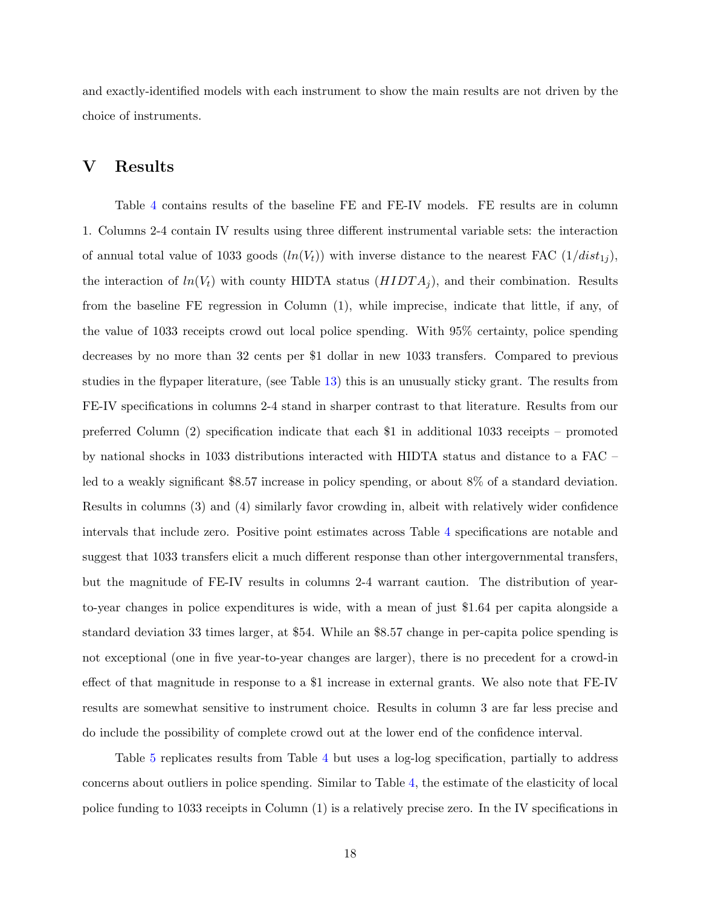and exactly-identified models with each instrument to show the main results are not driven by the choice of instruments.

### V Results

Table [4](#page-18-0) contains results of the baseline FE and FE-IV models. FE results are in column 1. Columns 2-4 contain IV results using three different instrumental variable sets: the interaction of annual total value of 1033 goods  $(ln(V_t))$  with inverse distance to the nearest FAC  $(1/dist_{1j}),$ the interaction of  $ln(V_t)$  with county HIDTA status  $(HIDTA_j)$ , and their combination. Results from the baseline FE regression in Column (1), while imprecise, indicate that little, if any, of the value of 1033 receipts crowd out local police spending. With 95% certainty, police spending decreases by no more than 32 cents per \$1 dollar in new 1033 transfers. Compared to previous studies in the flypaper literature, (see Table [13\)](#page-27-2) this is an unusually sticky grant. The results from FE-IV specifications in columns 2-4 stand in sharper contrast to that literature. Results from our preferred Column (2) specification indicate that each \$1 in additional 1033 receipts – promoted by national shocks in 1033 distributions interacted with HIDTA status and distance to a FAC – led to a weakly significant \$8.57 increase in policy spending, or about 8% of a standard deviation. Results in columns (3) and (4) similarly favor crowding in, albeit with relatively wider confidence intervals that include zero. Positive point estimates across Table [4](#page-18-0) specifications are notable and suggest that 1033 transfers elicit a much different response than other intergovernmental transfers, but the magnitude of FE-IV results in columns 2-4 warrant caution. The distribution of yearto-year changes in police expenditures is wide, with a mean of just \$1.64 per capita alongside a standard deviation 33 times larger, at \$54. While an \$8.57 change in per-capita police spending is not exceptional (one in five year-to-year changes are larger), there is no precedent for a crowd-in effect of that magnitude in response to a \$1 increase in external grants. We also note that FE-IV results are somewhat sensitive to instrument choice. Results in column 3 are far less precise and do include the possibility of complete crowd out at the lower end of the confidence interval.

Table [5](#page-19-0) replicates results from Table [4](#page-18-0) but uses a log-log specification, partially to address concerns about outliers in police spending. Similar to Table [4,](#page-18-0) the estimate of the elasticity of local police funding to 1033 receipts in Column (1) is a relatively precise zero. In the IV specifications in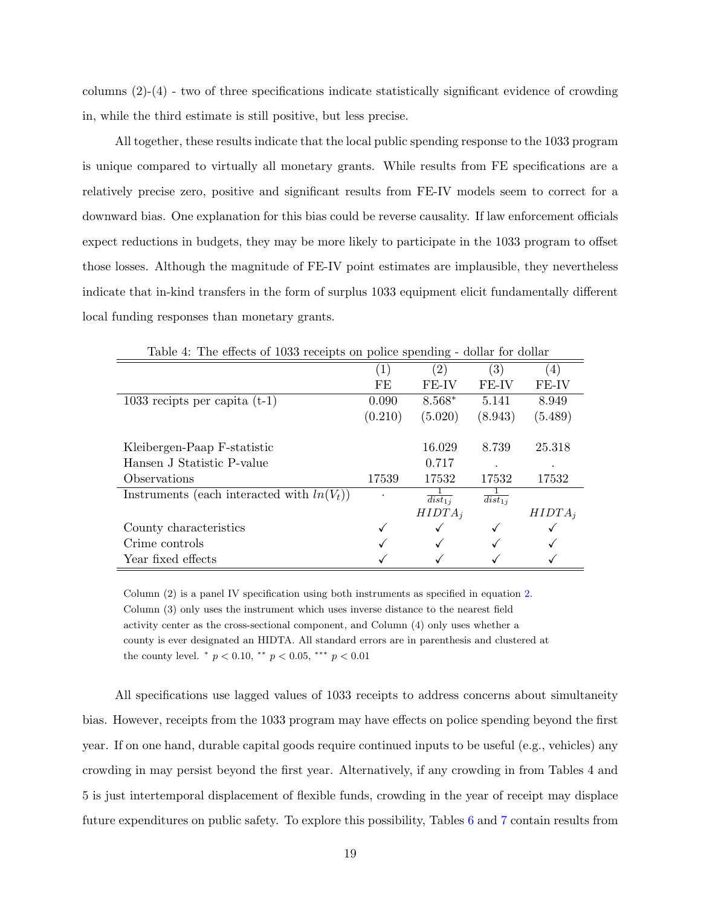columns (2)-(4) - two of three specifications indicate statistically significant evidence of crowding in, while the third estimate is still positive, but less precise.

All together, these results indicate that the local public spending response to the 1033 program is unique compared to virtually all monetary grants. While results from FE specifications are a relatively precise zero, positive and significant results from FE-IV models seem to correct for a downward bias. One explanation for this bias could be reverse causality. If law enforcement officials expect reductions in budgets, they may be more likely to participate in the 1033 program to offset those losses. Although the magnitude of FE-IV point estimates are implausible, they nevertheless indicate that in-kind transfers in the form of surplus 1033 equipment elicit fundamentally different local funding responses than monetary grants.

|                                               |         | (2)                    | (3)                    | $\left( 4\right)$ |
|-----------------------------------------------|---------|------------------------|------------------------|-------------------|
|                                               | FE      | FE-IV                  | FE-IV                  | FE-IV             |
| 1033 recipts per capita $(t-1)$               | 0.090   | $8.568*$               | 5.141                  | 8.949             |
|                                               | (0.210) | (5.020)                | (8.943)                | (5.489)           |
|                                               |         |                        |                        |                   |
| Kleibergen-Paap F-statistic                   |         | 16.029                 | 8.739                  | 25.318            |
| Hansen J Statistic P-value                    |         | 0.717                  |                        |                   |
| <i><b>Observations</b></i>                    | 17539   | 17532                  | 17532                  | 17532             |
| Instruments (each interacted with $ln(V_t)$ ) |         | $\overline{dist_{1j}}$ | $\overline{dist_{1i}}$ |                   |
|                                               |         | $HIDTA_i$              |                        | $HIDTA_i$         |
| County characteristics                        |         |                        |                        |                   |
| Crime controls                                |         |                        |                        |                   |
| Year fixed effects                            |         |                        |                        |                   |

<span id="page-18-0"></span>Table 4: The effects of 1033 receipts on police spending - dollar for dollar

Column (2) is a panel IV specification using both instruments as specified in equation [2.](#page-15-1) Column (3) only uses the instrument which uses inverse distance to the nearest field activity center as the cross-sectional component, and Column (4) only uses whether a county is ever designated an HIDTA. All standard errors are in parenthesis and clustered at the county level.  $p < 0.10$ ,  $p < 0.05$ ,  $p > 0.01$ 

All specifications use lagged values of 1033 receipts to address concerns about simultaneity bias. However, receipts from the 1033 program may have effects on police spending beyond the first year. If on one hand, durable capital goods require continued inputs to be useful (e.g., vehicles) any crowding in may persist beyond the first year. Alternatively, if any crowding in from Tables 4 and 5 is just intertemporal displacement of flexible funds, crowding in the year of receipt may displace future expenditures on public safety. To explore this possibility, Tables [6](#page-20-0) and [7](#page-20-1) contain results from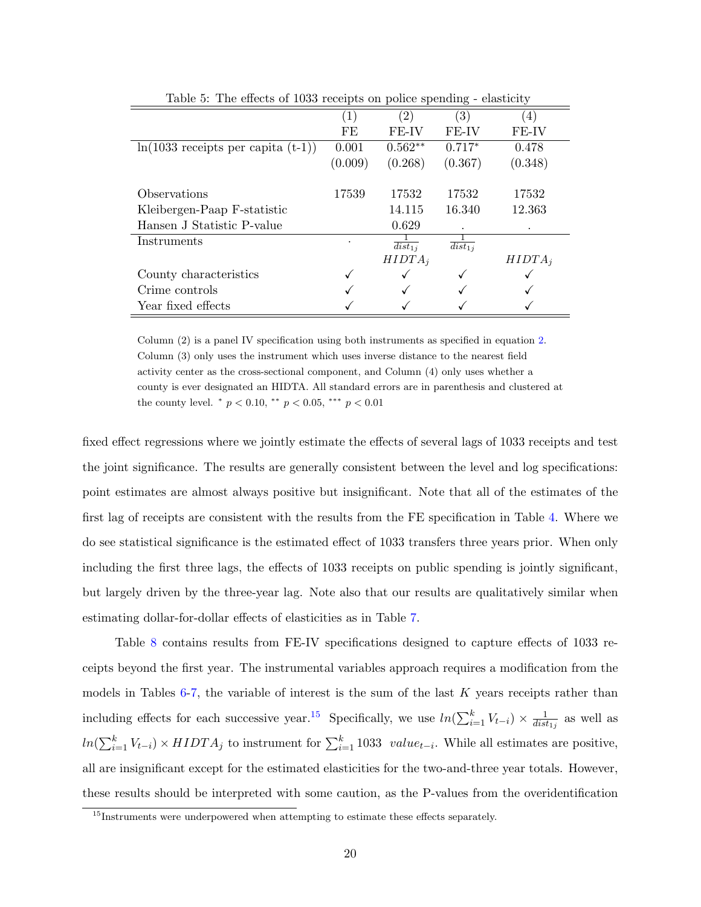| Lable 5. The effects of 1099 receipts on police spending - elasticity |         |                        |                        |                  |
|-----------------------------------------------------------------------|---------|------------------------|------------------------|------------------|
|                                                                       |         | (2)                    | $\left( 3\right)$      | $\left(4\right)$ |
|                                                                       | FE      | FE-IV                  | FE-IV                  | FE-IV            |
| $\ln(1033 \text{ receipts per capita } (t-1))$                        | 0.001   | $0.562**$              | $0.717*$               | 0.478            |
|                                                                       | (0.009) | (0.268)                | (0.367)                | (0.348)          |
|                                                                       |         |                        |                        |                  |
| Observations                                                          | 17539   | 17532                  | 17532                  | 17532            |
| Kleibergen-Paap F-statistic                                           |         | 14.115                 | 16.340                 | 12.363           |
| Hansen J Statistic P-value                                            |         | 0.629                  |                        |                  |
| Instruments                                                           |         | $\overline{dist_{1i}}$ | $\overline{dist_{1j}}$ |                  |
|                                                                       |         | $HIDTA_i$              |                        | $HIDTA_i$        |
| County characteristics                                                |         |                        |                        |                  |
| Crime controls                                                        |         |                        |                        |                  |
| Year fixed effects                                                    |         |                        |                        |                  |

<span id="page-19-0"></span>Table 5: The effects of 1033 receipts on police spending - elasticity

Column (2) is a panel IV specification using both instruments as specified in equation [2.](#page-15-1) Column (3) only uses the instrument which uses inverse distance to the nearest field activity center as the cross-sectional component, and Column (4) only uses whether a county is ever designated an HIDTA. All standard errors are in parenthesis and clustered at the county level.  $p < 0.10$ ,  $p < 0.05$ ,  $p > 0.01$ 

fixed effect regressions where we jointly estimate the effects of several lags of 1033 receipts and test the joint significance. The results are generally consistent between the level and log specifications: point estimates are almost always positive but insignificant. Note that all of the estimates of the first lag of receipts are consistent with the results from the FE specification in Table [4.](#page-18-0) Where we do see statistical significance is the estimated effect of 1033 transfers three years prior. When only including the first three lags, the effects of 1033 receipts on public spending is jointly significant, but largely driven by the three-year lag. Note also that our results are qualitatively similar when estimating dollar-for-dollar effects of elasticities as in Table [7.](#page-20-1)

Table [8](#page-21-0) contains results from FE-IV specifications designed to capture effects of 1033 receipts beyond the first year. The instrumental variables approach requires a modification from the models in Tables  $6-7$  $6-7$ , the variable of interest is the sum of the last K years receipts rather than including effects for each successive year.<sup>[15](#page-19-1)</sup> Specifically, we use  $ln(\sum_{i=1}^{k} V_{t-i}) \times \frac{1}{dist}$  $\frac{1}{dist_{1j}}$  as well as  $ln(\sum_{i=1}^{k} V_{t-i}) \times HIDTA_j$  to instrument for  $\sum_{i=1}^{k} 1033$  value<sub>t−i</sub>. While all estimates are positive, all are insignificant except for the estimated elasticities for the two-and-three year totals. However, these results should be interpreted with some caution, as the P-values from the overidentification

<span id="page-19-1"></span><sup>&</sup>lt;sup>15</sup>Instruments were underpowered when attempting to estimate these effects separately.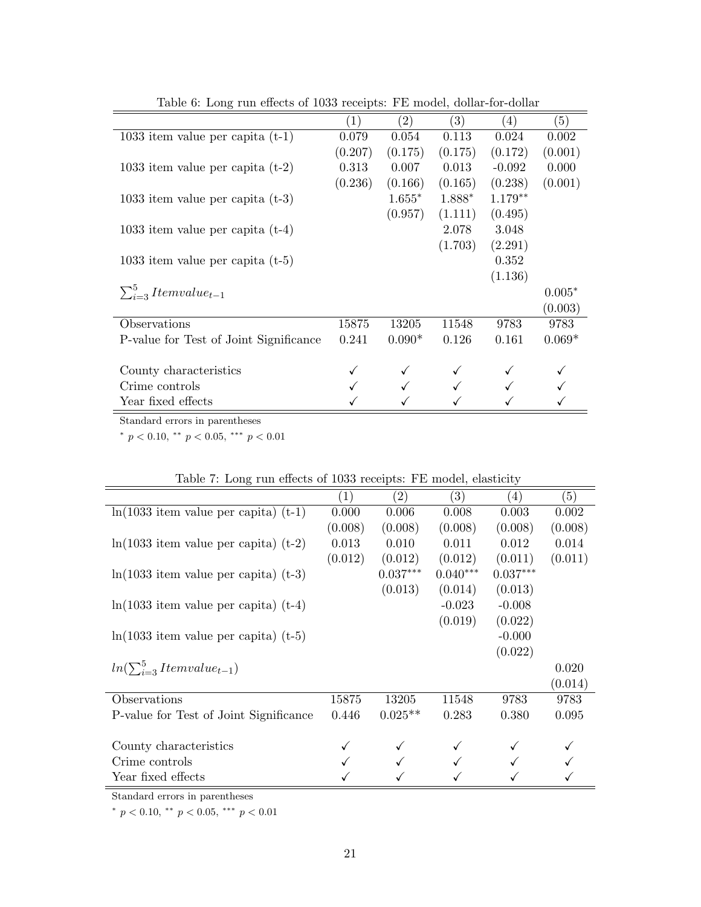|                                        | $\left(1\right)$ | (2)      | (3)     | (4)       | (5)      |
|----------------------------------------|------------------|----------|---------|-----------|----------|
| 1033 item value per capita $(t-1)$     | 0.079            | 0.054    | 0.113   | 0.024     | 0.002    |
|                                        | (0.207)          | (0.175)  | (0.175) | (0.172)   | (0.001)  |
| 1033 item value per capita $(t-2)$     | 0.313            | 0.007    | 0.013   | $-0.092$  | 0.000    |
|                                        | (0.236)          | (0.166)  | (0.165) | (0.238)   | (0.001)  |
| 1033 item value per capita $(t-3)$     |                  | $1.655*$ | 1.888*  | $1.179**$ |          |
|                                        |                  | (0.957)  | (1.111) | (0.495)   |          |
| 1033 item value per capita $(t-4)$     |                  |          | 2.078   | 3.048     |          |
|                                        |                  |          | (1.703) | (2.291)   |          |
| 1033 item value per capita $(t-5)$     |                  |          |         | 0.352     |          |
|                                        |                  |          |         | (1.136)   |          |
| $\sum_{i=3}^{5}Itemvalue_{t-1}$        |                  |          |         |           | $0.005*$ |
|                                        |                  |          |         |           | (0.003)  |
| Observations                           | 15875            | 13205    | 11548   | 9783      | 9783     |
| P-value for Test of Joint Significance | 0.241            | $0.090*$ | 0.126   | 0.161     | $0.069*$ |
|                                        |                  |          |         |           |          |
| County characteristics                 |                  |          |         |           |          |
| Crime controls                         |                  |          |         |           |          |
| Year fixed effects                     |                  |          |         |           |          |

<span id="page-20-0"></span>Table 6: Long run effects of 1033 receipts: FE model, dollar-for-dollar

Standard errors in parentheses

\*  $p < 0.10,$  \*\*  $p < 0.05,$  \*\*\*  $p < 0.01$ 

| Table 1. Dolly Tull checus of 1000 feectbus. I'm model, classicity |         |                   |            |            |         |
|--------------------------------------------------------------------|---------|-------------------|------------|------------|---------|
|                                                                    | (1)     | $\left( 2\right)$ | (3)        | (4)        | (5)     |
| $ln(1033$ item value per capita) $(t-1)$                           | 0.000   | 0.006             | 0.008      | 0.003      | 0.002   |
|                                                                    | (0.008) | (0.008)           | (0.008)    | (0.008)    | (0.008) |
| $ln(1033$ item value per capita) $(t-2)$                           | 0.013   | 0.010             | 0.011      | 0.012      | 0.014   |
|                                                                    | (0.012) | (0.012)           | (0.012)    | (0.011)    | (0.011) |
| $ln(1033$ item value per capita) $(t-3)$                           |         | $0.037***$        | $0.040***$ | $0.037***$ |         |
|                                                                    |         | (0.013)           | (0.014)    | (0.013)    |         |
| $ln(1033$ item value per capita) $(t-4)$                           |         |                   | $-0.023$   | $-0.008$   |         |
|                                                                    |         |                   | (0.019)    | (0.022)    |         |
| $ln(1033$ item value per capita) $(t-5)$                           |         |                   |            | $-0.000$   |         |
|                                                                    |         |                   |            | (0.022)    |         |
| $ln(\sum_{i=3}^{5}Itemvalue_{t-1})$                                |         |                   |            |            | 0.020   |
|                                                                    |         |                   |            |            | (0.014) |
| Observations                                                       | 15875   | 13205             | 11548      | 9783       | 9783    |
| P-value for Test of Joint Significance                             | 0.446   | $0.025**$         | 0.283      | 0.380      | 0.095   |
|                                                                    |         |                   |            |            |         |
| County characteristics                                             |         |                   |            |            |         |
| Crime controls                                                     |         |                   |            |            |         |
| Year fixed effects                                                 |         |                   |            |            |         |

<span id="page-20-1"></span>

| Table 7: Long run effects of 1033 receipts: FE model, elasticity |  |  |  |  |  |  |  |
|------------------------------------------------------------------|--|--|--|--|--|--|--|
|------------------------------------------------------------------|--|--|--|--|--|--|--|

Standard errors in parentheses

\*  $p < 0.10,$  \*\*  $p < 0.05,$  \*\*\*  $p < 0.01$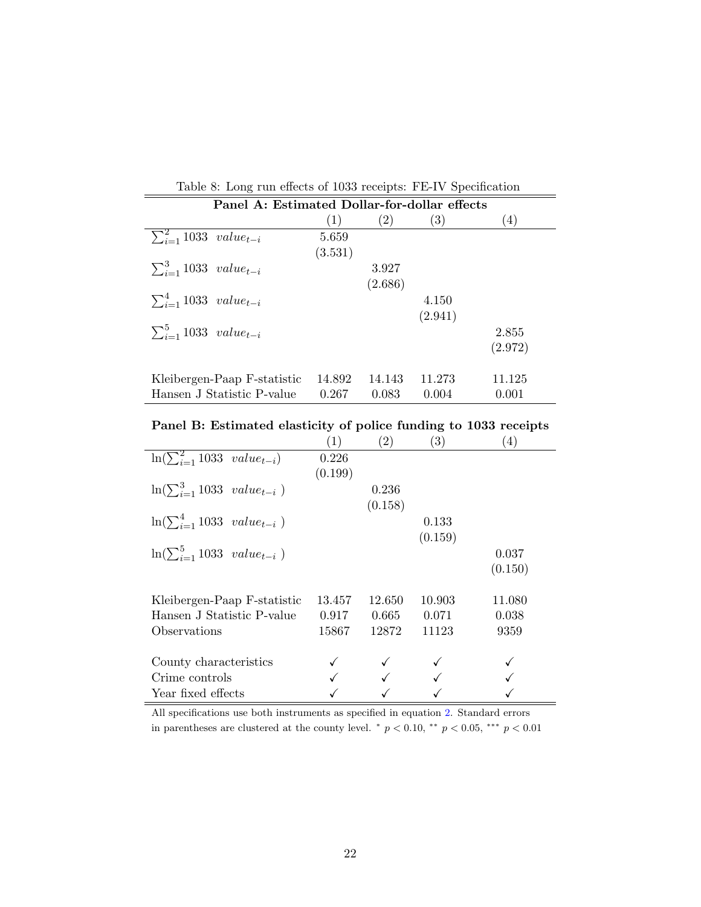| Table 8: Long run effects of 1033 receipts: FE-IV Specification |         |         |                   |                   |
|-----------------------------------------------------------------|---------|---------|-------------------|-------------------|
| Panel A: Estimated Dollar-for-dollar effects                    |         |         |                   |                   |
|                                                                 | (1)     | (2)     | $\left( 3\right)$ | $\left( 4\right)$ |
| $\sum_{i=1}^{2} 1033 \ value_{t-i}$                             | 5.659   |         |                   |                   |
|                                                                 | (3.531) |         |                   |                   |
| $\sum_{i=1}^{3} 1033 \ value_{t-i}$                             |         | 3.927   |                   |                   |
|                                                                 |         | (2.686) |                   |                   |
| $\sum_{i=1}^{4} 1033 \ value_{t-i}$                             |         |         | 4.150             |                   |
|                                                                 |         |         | (2.941)           |                   |
| $\sum_{i=1}^{5} 1033 \ value_{t-i}$                             |         |         |                   | 2.855             |
|                                                                 |         |         |                   | (2.972)           |
| Kleibergen-Paap F-statistic                                     | 14.892  | 14.143  | 11.273            | 11.125            |

<span id="page-21-0"></span>Table 8: Long run effects of 1033 receipts: FE-IV Specification

|  | Panel B: Estimated elasticity of police funding to 1033 receipts |  |  |  |  |
|--|------------------------------------------------------------------|--|--|--|--|
|  |                                                                  |  |  |  |  |

Hansen J Statistic P-value  $0.267$   $0.083$   $0.004$   $0.001$ 

|                                          | (1)     | $\left( 2\right)$ | (3)     | (4)     |
|------------------------------------------|---------|-------------------|---------|---------|
| $\ln(\sum_{i=1}^{2} 1033 \ value_{t-i})$ | 0.226   |                   |         |         |
|                                          | (0.199) |                   |         |         |
| $\ln(\sum_{i=1}^{3} 1033 \ value_{t-i})$ |         | 0.236             |         |         |
|                                          |         | (0.158)           |         |         |
| $\ln(\sum_{i=1}^{4} 1033 \ value_{t-i})$ |         |                   | 0.133   |         |
|                                          |         |                   | (0.159) |         |
| $\ln(\sum_{i=1}^{5} 1033 \ value_{t-i})$ |         |                   |         | 0.037   |
|                                          |         |                   |         | (0.150) |
|                                          |         |                   |         |         |
| Kleibergen-Paap F-statistic              | 13.457  | 12.650            | 10.903  | 11.080  |
| Hansen J Statistic P-value               | 0.917   | 0.665             | 0.071   | 0.038   |
| Observations                             | 15867   | 12872             | 11123   | 9359    |
|                                          |         |                   |         |         |
| County characteristics                   |         |                   |         |         |
| Crime controls                           |         |                   |         |         |
| Year fixed effects                       |         |                   |         |         |

All specifications use both instruments as specified in equation [2.](#page-15-1) Standard errors in parentheses are clustered at the county level.  $p < 0.10$ ,  $\rightarrow p < 0.05$ ,  $\rightarrow p < 0.01$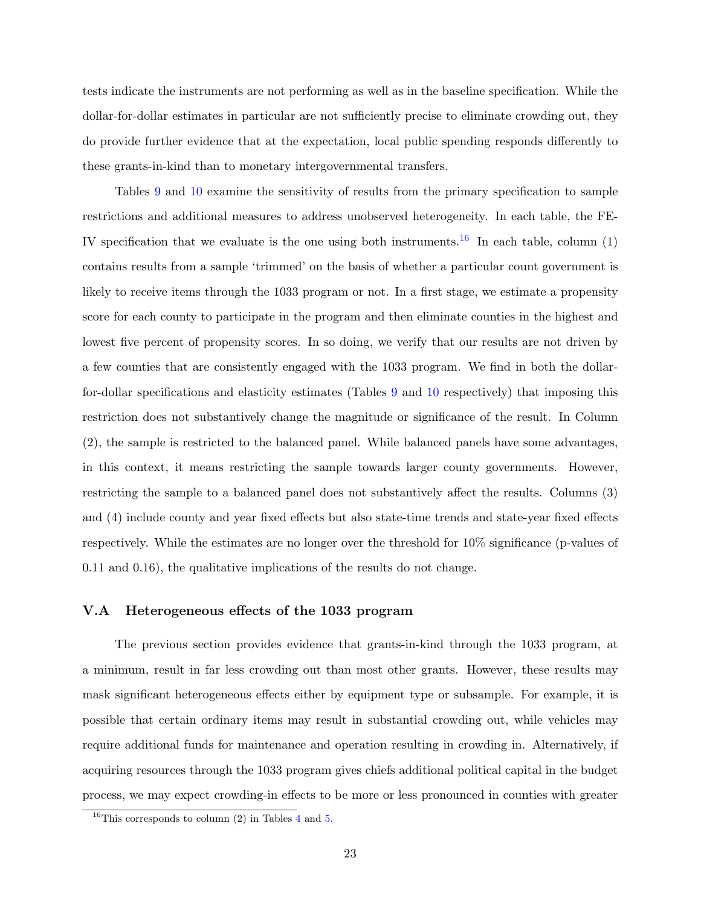tests indicate the instruments are not performing as well as in the baseline specification. While the dollar-for-dollar estimates in particular are not sufficiently precise to eliminate crowding out, they do provide further evidence that at the expectation, local public spending responds differently to these grants-in-kind than to monetary intergovernmental transfers.

Tables [9](#page-23-0) and [10](#page-23-1) examine the sensitivity of results from the primary specification to sample restrictions and additional measures to address unobserved heterogeneity. In each table, the FE-IV specification that we evaluate is the one using both instruments.<sup>[16](#page-22-0)</sup> In each table, column  $(1)$ contains results from a sample 'trimmed' on the basis of whether a particular count government is likely to receive items through the 1033 program or not. In a first stage, we estimate a propensity score for each county to participate in the program and then eliminate counties in the highest and lowest five percent of propensity scores. In so doing, we verify that our results are not driven by a few counties that are consistently engaged with the 1033 program. We find in both the dollarfor-dollar specifications and elasticity estimates (Tables [9](#page-23-0) and [10](#page-23-1) respectively) that imposing this restriction does not substantively change the magnitude or significance of the result. In Column (2), the sample is restricted to the balanced panel. While balanced panels have some advantages, in this context, it means restricting the sample towards larger county governments. However, restricting the sample to a balanced panel does not substantively affect the results. Columns (3) and (4) include county and year fixed effects but also state-time trends and state-year fixed effects respectively. While the estimates are no longer over the threshold for 10% significance (p-values of 0.11 and 0.16), the qualitative implications of the results do not change.

#### V.A Heterogeneous effects of the 1033 program

The previous section provides evidence that grants-in-kind through the 1033 program, at a minimum, result in far less crowding out than most other grants. However, these results may mask significant heterogeneous effects either by equipment type or subsample. For example, it is possible that certain ordinary items may result in substantial crowding out, while vehicles may require additional funds for maintenance and operation resulting in crowding in. Alternatively, if acquiring resources through the 1033 program gives chiefs additional political capital in the budget process, we may expect crowding-in effects to be more or less pronounced in counties with greater

<span id="page-22-0"></span> $16$ This corresponds to column (2) in Tables [4](#page-18-0) and [5.](#page-19-0)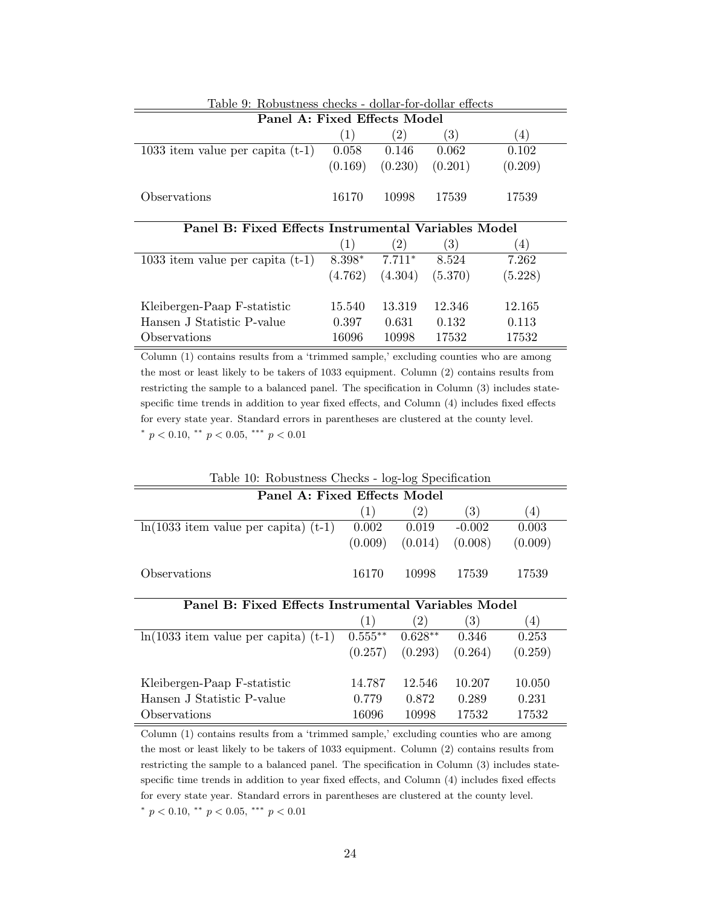<span id="page-23-0"></span>

| Table 9: Robustness checks - dollar-for-dollar effects |         |                |         |                   |
|--------------------------------------------------------|---------|----------------|---------|-------------------|
| Panel A: Fixed Effects Model                           |         |                |         |                   |
|                                                        | (1)     | (2)            | (3)     | $\left( 4\right)$ |
| 1033 item value per capita $(t-1)$                     | 0.058   | 0.146          | 0.062   | 0.102             |
|                                                        | (0.169) | (0.230)        | (0.201) | (0.209)           |
| Observations                                           | 16170   | 10998          | 17539   | 17539             |
|                                                        |         |                |         |                   |
| Panel B: Fixed Effects Instrumental Variables Model    |         |                |         |                   |
|                                                        | (1)     | (2)            | (3)     | (4)               |
| 1033 item value per capita $(t-1)$                     |         | $8.398*7.711*$ | 8.524   | 7.262             |
|                                                        | (4.762) | (4.304)        | (5.370) | (5.228)           |
|                                                        |         |                |         |                   |
| Kleibergen-Paap F-statistic                            | 15.540  | 13.319         | 12.346  | 12.165            |
| Hansen J Statistic P-value                             | 0.397   | 0.631          | 0.132   | 0.113             |

Column (1) contains results from a 'trimmed sample,' excluding counties who are among the most or least likely to be takers of 1033 equipment. Column (2) contains results from restricting the sample to a balanced panel. The specification in Column (3) includes statespecific time trends in addition to year fixed effects, and Column (4) includes fixed effects for every state year. Standard errors in parentheses are clustered at the county level. \*  $p < 0.10$ , \*\*  $p < 0.05$ , \*\*\*  $p < 0.01$ 

<span id="page-23-1"></span>

| Table 10: Robustness Checks - log-log Specification |                                                     |                   |          |         |  |  |
|-----------------------------------------------------|-----------------------------------------------------|-------------------|----------|---------|--|--|
| Panel A: Fixed Effects Model                        |                                                     |                   |          |         |  |  |
|                                                     | (1)                                                 | $^{(2)}$          | (3)      | (4)     |  |  |
| $ln(1033$ item value per capita) $(t-1)$            | 0.002                                               | 0.019             | $-0.002$ | 0.003   |  |  |
|                                                     | (0.009)                                             | (0.014)           | (0.008)  | (0.009) |  |  |
| Observations                                        | 16170                                               | 10998             | 17539    | 17539   |  |  |
|                                                     | Panel B: Fixed Effects Instrumental Variables Model |                   |          |         |  |  |
|                                                     |                                                     |                   |          |         |  |  |
|                                                     | (1)                                                 | $\left( 2\right)$ | (3)      | (4)     |  |  |
| $ln(1033$ item value per capita) (t-1)              | $0.555**$                                           | $0.628**$         | 0.346    | 0.253   |  |  |
|                                                     | (0.257)                                             | (0.293)           | (0.264)  | (0.259) |  |  |
| Kleibergen-Paap F-statistic                         | 14.787                                              | 12.546            | 10.207   | 10.050  |  |  |
| Hansen J Statistic P-value                          | 0.779                                               | 0.872             | 0.289    | 0.231   |  |  |

Column (1) contains results from a 'trimmed sample,' excluding counties who are among the most or least likely to be takers of 1033 equipment. Column (2) contains results from restricting the sample to a balanced panel. The specification in Column (3) includes statespecific time trends in addition to year fixed effects, and Column (4) includes fixed effects for every state year. Standard errors in parentheses are clustered at the county level. \*  $p < 0.10$ , \*\*  $p < 0.05$ , \*\*\*  $p < 0.01$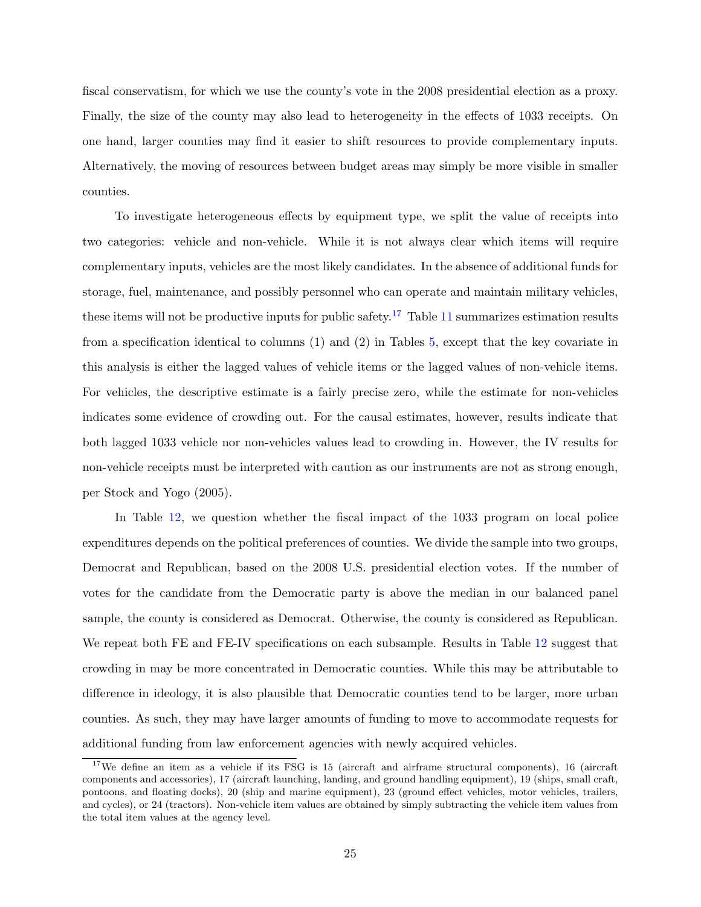fiscal conservatism, for which we use the county's vote in the 2008 presidential election as a proxy. Finally, the size of the county may also lead to heterogeneity in the effects of 1033 receipts. On one hand, larger counties may find it easier to shift resources to provide complementary inputs. Alternatively, the moving of resources between budget areas may simply be more visible in smaller counties.

To investigate heterogeneous effects by equipment type, we split the value of receipts into two categories: vehicle and non-vehicle. While it is not always clear which items will require complementary inputs, vehicles are the most likely candidates. In the absence of additional funds for storage, fuel, maintenance, and possibly personnel who can operate and maintain military vehicles, these items will not be productive inputs for public safety.<sup>[17](#page-24-0)</sup> Table [11](#page-25-0) summarizes estimation results from a specification identical to columns (1) and (2) in Tables [5,](#page-19-0) except that the key covariate in this analysis is either the lagged values of vehicle items or the lagged values of non-vehicle items. For vehicles, the descriptive estimate is a fairly precise zero, while the estimate for non-vehicles indicates some evidence of crowding out. For the causal estimates, however, results indicate that both lagged 1033 vehicle nor non-vehicles values lead to crowding in. However, the IV results for non-vehicle receipts must be interpreted with caution as our instruments are not as strong enough, per [Stock and Yogo](#page-29-7) [\(2005\)](#page-29-7).

In Table [12,](#page-26-0) we question whether the fiscal impact of the 1033 program on local police expenditures depends on the political preferences of counties. We divide the sample into two groups, Democrat and Republican, based on the 2008 U.S. presidential election votes. If the number of votes for the candidate from the Democratic party is above the median in our balanced panel sample, the county is considered as Democrat. Otherwise, the county is considered as Republican. We repeat both FE and FE-IV specifications on each subsample. Results in Table [12](#page-26-0) suggest that crowding in may be more concentrated in Democratic counties. While this may be attributable to difference in ideology, it is also plausible that Democratic counties tend to be larger, more urban counties. As such, they may have larger amounts of funding to move to accommodate requests for additional funding from law enforcement agencies with newly acquired vehicles.

<span id="page-24-0"></span><sup>&</sup>lt;sup>17</sup>We define an item as a vehicle if its FSG is 15 (aircraft and airframe structural components), 16 (aircraft components and accessories), 17 (aircraft launching, landing, and ground handling equipment), 19 (ships, small craft, pontoons, and floating docks), 20 (ship and marine equipment), 23 (ground effect vehicles, motor vehicles, trailers, and cycles), or 24 (tractors). Non-vehicle item values are obtained by simply subtracting the vehicle item values from the total item values at the agency level.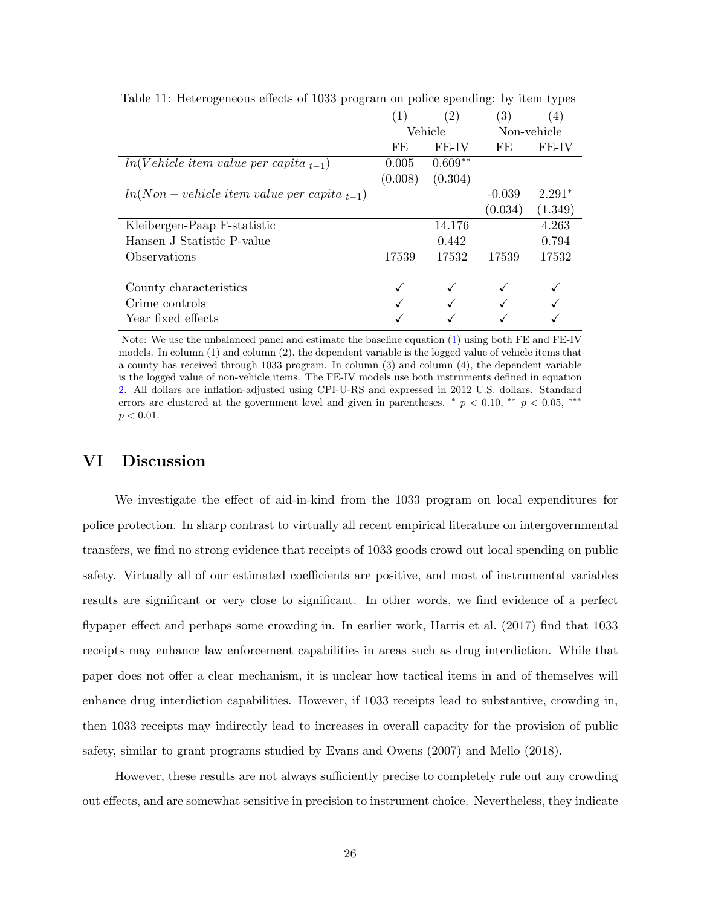|                                                     | $\left(1\right)$ | $\left( 2\right)$ | $\left( 3\right)$ | (4)         |
|-----------------------------------------------------|------------------|-------------------|-------------------|-------------|
|                                                     | Vehicle          |                   |                   | Non-vehicle |
|                                                     | FE               | FE-IV             | FE                | FE-IV       |
| $ln(Vehicle item value per capita_{t-1})$           | 0.005            | $0.609**$         |                   |             |
|                                                     | (0.008)          | (0.304)           |                   |             |
| $ln(Non - vehicle\ item\ value\ per\ capita\ _t-1)$ |                  |                   | $-0.039$          | $2.291*$    |
|                                                     |                  |                   | (0.034)           | (1.349)     |
| Kleibergen-Paap F-statistic                         |                  | 14.176            |                   | 4.263       |
| Hansen J Statistic P-value                          |                  | 0.442             |                   | 0.794       |
| Observations                                        | 17539            | 17532             | 17539             | 17532       |
| County characteristics                              |                  |                   |                   |             |
| Crime controls                                      |                  |                   |                   |             |
| Year fixed effects                                  |                  |                   |                   |             |

<span id="page-25-0"></span>Table 11: Heterogeneous effects of 1033 program on police spending: by item types

Note: We use the unbalanced panel and estimate the baseline equation [\(1\)](#page-14-0) using both FE and FE-IV models. In column (1) and column (2), the dependent variable is the logged value of vehicle items that a county has received through 1033 program. In column (3) and column (4), the dependent variable is the logged value of non-vehicle items. The FE-IV models use both instruments defined in equation [2.](#page-15-1) All dollars are inflation-adjusted using CPI-U-RS and expressed in 2012 U.S. dollars. Standard errors are clustered at the government level and given in parentheses.  $\binom{*}{p}$   $\lt$  0.10,  $\binom{**}{p}$   $\lt$  0.05,  $\binom{***}{p}$  $p < 0.01$ .

# VI Discussion

We investigate the effect of aid-in-kind from the 1033 program on local expenditures for police protection. In sharp contrast to virtually all recent empirical literature on intergovernmental transfers, we find no strong evidence that receipts of 1033 goods crowd out local spending on public safety. Virtually all of our estimated coefficients are positive, and most of instrumental variables results are significant or very close to significant. In other words, we find evidence of a perfect flypaper effect and perhaps some crowding in. In earlier work, [Harris et al.](#page-29-6) [\(2017\)](#page-29-6) find that 1033 receipts may enhance law enforcement capabilities in areas such as drug interdiction. While that paper does not offer a clear mechanism, it is unclear how tactical items in and of themselves will enhance drug interdiction capabilities. However, if 1033 receipts lead to substantive, crowding in, then 1033 receipts may indirectly lead to increases in overall capacity for the provision of public safety, similar to grant programs studied by [Evans and Owens](#page-28-4) [\(2007\)](#page-28-4) and [Mello](#page-29-8) [\(2018\)](#page-29-8).

However, these results are not always sufficiently precise to completely rule out any crowding out effects, and are somewhat sensitive in precision to instrument choice. Nevertheless, they indicate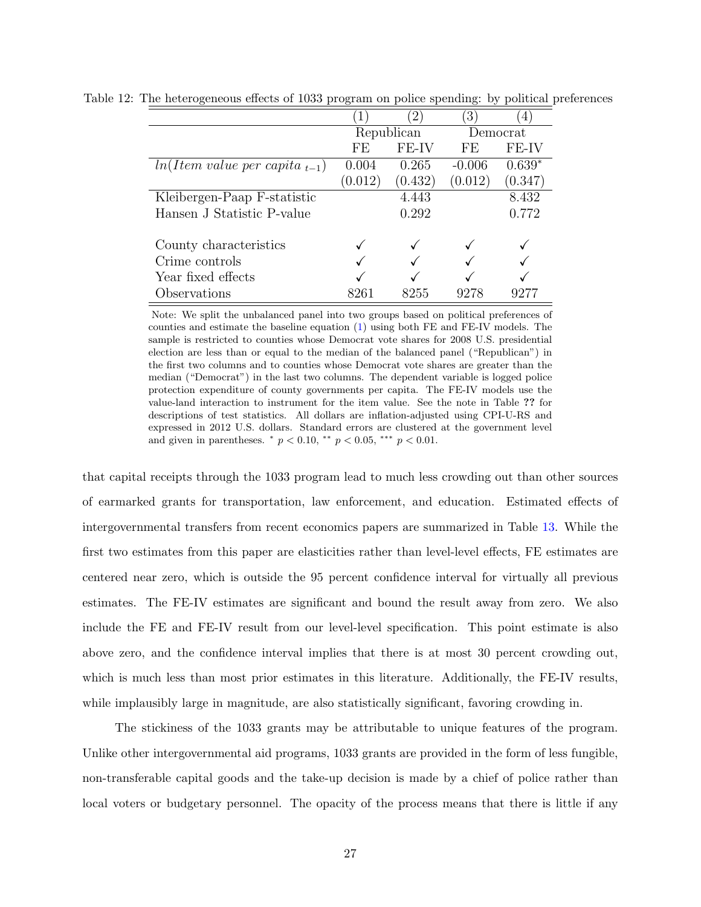<span id="page-26-0"></span>

|                                   |            | $\mathcal{D}_{\mathcal{L}}$ | 3        | 4        |
|-----------------------------------|------------|-----------------------------|----------|----------|
|                                   | Republican |                             |          | Democrat |
|                                   | FE         | FE-IV                       | FE       | FE-IV    |
| $ln(Item value per capita_{t-1})$ | 0.004      | 0.265                       | $-0.006$ | $0.639*$ |
|                                   | (0.012)    | (0.432)                     | (0.012)  | (0.347)  |
| Kleibergen-Paap F-statistic       |            | 4.443                       |          | 8.432    |
| Hansen J Statistic P-value        |            | 0.292                       |          | 0.772    |
| County characteristics            |            |                             |          |          |
| Crime controls                    |            |                             |          |          |
| Year fixed effects                |            |                             |          |          |
| Observations                      |            | 8255                        | 9278     |          |

Table 12: The heterogeneous effects of 1033 program on police spending: by political preferences

Note: We split the unbalanced panel into two groups based on political preferences of counties and estimate the baseline equation [\(1\)](#page-14-0) using both FE and FE-IV models. The sample is restricted to counties whose Democrat vote shares for 2008 U.S. presidential election are less than or equal to the median of the balanced panel ("Republican") in the first two columns and to counties whose Democrat vote shares are greater than the median ("Democrat") in the last two columns. The dependent variable is logged police protection expenditure of county governments per capita. The FE-IV models use the value-land interaction to instrument for the item value. See the note in Table ?? for descriptions of test statistics. All dollars are inflation-adjusted using CPI-U-RS and expressed in 2012 U.S. dollars. Standard errors are clustered at the government level and given in parentheses.  $p < 0.10$ ,  $\alpha^{*} p < 0.05$ ,  $\alpha^{**} p < 0.01$ .

that capital receipts through the 1033 program lead to much less crowding out than other sources of earmarked grants for transportation, law enforcement, and education. Estimated effects of intergovernmental transfers from recent economics papers are summarized in Table [13.](#page-27-2) While the first two estimates from this paper are elasticities rather than level-level effects, FE estimates are centered near zero, which is outside the 95 percent confidence interval for virtually all previous estimates. The FE-IV estimates are significant and bound the result away from zero. We also include the FE and FE-IV result from our level-level specification. This point estimate is also above zero, and the confidence interval implies that there is at most 30 percent crowding out, which is much less than most prior estimates in this literature. Additionally, the FE-IV results, while implausibly large in magnitude, are also statistically significant, favoring crowding in.

The stickiness of the 1033 grants may be attributable to unique features of the program. Unlike other intergovernmental aid programs, 1033 grants are provided in the form of less fungible, non-transferable capital goods and the take-up decision is made by a chief of police rather than local voters or budgetary personnel. The opacity of the process means that there is little if any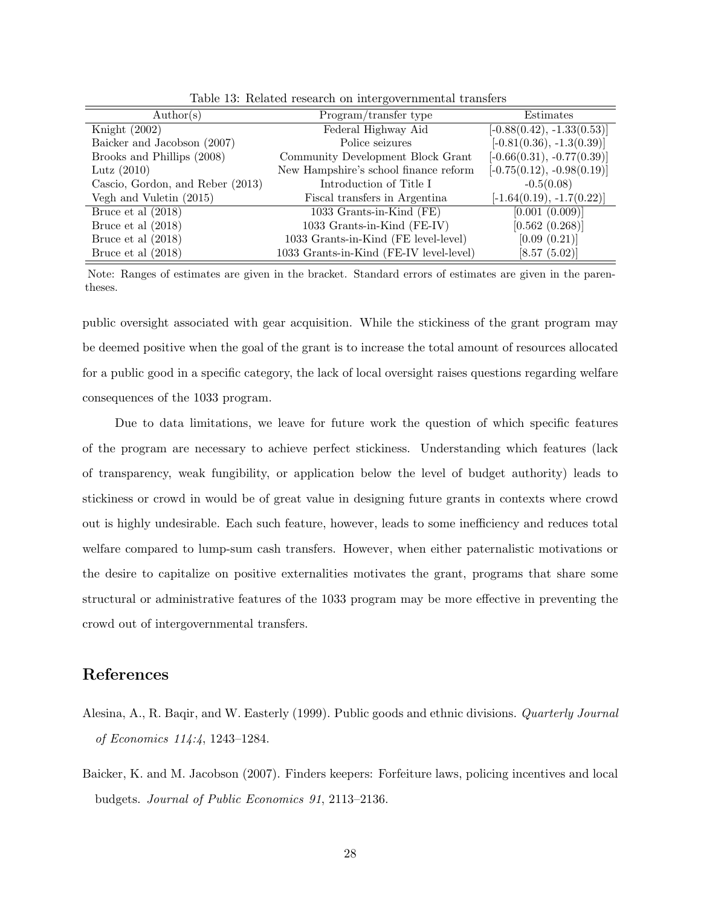| $\text{Author}(s)$               | Program/transfer type                   | Estimates                    |
|----------------------------------|-----------------------------------------|------------------------------|
| Knight $(2002)$                  | Federal Highway Aid                     | $[-0.88(0.42), -1.33(0.53)]$ |
| Baicker and Jacobson (2007)      | Police seizures                         | $[-0.81(0.36), -1.3(0.39)]$  |
| Brooks and Phillips (2008)       | Community Development Block Grant       | $[-0.66(0.31), -0.77(0.39)]$ |
| Lutz $(2010)$                    | New Hampshire's school finance reform   | $[-0.75(0.12), -0.98(0.19)]$ |
| Cascio, Gordon, and Reber (2013) | Introduction of Title I                 | $-0.5(0.08)$                 |
| Vegh and Vuletin (2015)          | Fiscal transfers in Argentina           | $[-1.64(0.19), -1.7(0.22)]$  |
| Bruce et al $(2018)$             | 1033 Grants-in-Kind (FE)                | [0.001 (0.009)]              |
| Bruce et al $(2018)$             | 1033 Grants-in-Kind (FE-IV)             | [0.562 (0.268)]              |
| Bruce et al $(2018)$             | 1033 Grants-in-Kind (FE level-level)    | [0.09(0.21)]                 |
| Bruce et al $(2018)$             | 1033 Grants-in-Kind (FE-IV level-level) | [8.57 (5.02)]                |

<span id="page-27-2"></span>Table 13: Related research on intergovernmental transfers

Note: Ranges of estimates are given in the bracket. Standard errors of estimates are given in the parentheses.

public oversight associated with gear acquisition. While the stickiness of the grant program may be deemed positive when the goal of the grant is to increase the total amount of resources allocated for a public good in a specific category, the lack of local oversight raises questions regarding welfare consequences of the 1033 program.

Due to data limitations, we leave for future work the question of which specific features of the program are necessary to achieve perfect stickiness. Understanding which features (lack of transparency, weak fungibility, or application below the level of budget authority) leads to stickiness or crowd in would be of great value in designing future grants in contexts where crowd out is highly undesirable. Each such feature, however, leads to some inefficiency and reduces total welfare compared to lump-sum cash transfers. However, when either paternalistic motivations or the desire to capitalize on positive externalities motivates the grant, programs that share some structural or administrative features of the 1033 program may be more effective in preventing the crowd out of intergovernmental transfers.

### References

- <span id="page-27-1"></span>Alesina, A., R. Baqir, and W. Easterly (1999). Public goods and ethnic divisions. Quarterly Journal of Economics 114:4, 1243–1284.
- <span id="page-27-0"></span>Baicker, K. and M. Jacobson (2007). Finders keepers: Forfeiture laws, policing incentives and local budgets. Journal of Public Economics 91, 2113–2136.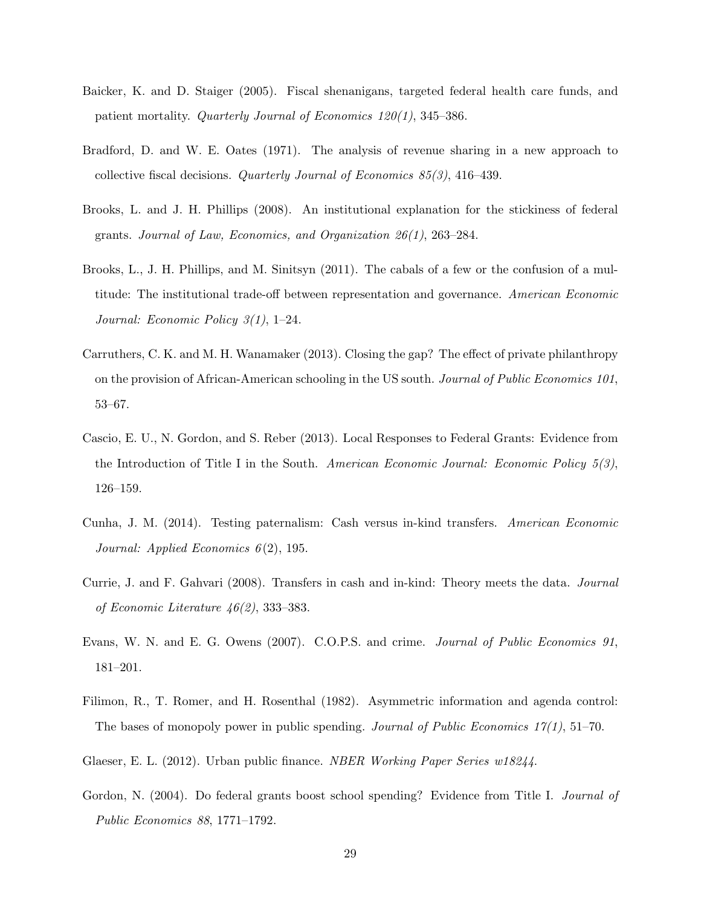- <span id="page-28-3"></span>Baicker, K. and D. Staiger (2005). Fiscal shenanigans, targeted federal health care funds, and patient mortality. Quarterly Journal of Economics 120(1), 345–386.
- <span id="page-28-0"></span>Bradford, D. and W. E. Oates (1971). The analysis of revenue sharing in a new approach to collective fiscal decisions. Quarterly Journal of Economics 85(3), 416–439.
- Brooks, L. and J. H. Phillips (2008). An institutional explanation for the stickiness of federal grants. Journal of Law, Economics, and Organization 26(1), 263–284.
- <span id="page-28-6"></span>Brooks, L., J. H. Phillips, and M. Sinitsyn (2011). The cabals of a few or the confusion of a multitude: The institutional trade-off between representation and governance. American Economic Journal: Economic Policy 3(1), 1–24.
- <span id="page-28-10"></span>Carruthers, C. K. and M. H. Wanamaker (2013). Closing the gap? The effect of private philanthropy on the provision of African-American schooling in the US south. Journal of Public Economics 101, 53–67.
- <span id="page-28-2"></span>Cascio, E. U., N. Gordon, and S. Reber (2013). Local Responses to Federal Grants: Evidence from the Introduction of Title I in the South. American Economic Journal: Economic Policy  $5(3)$ , 126–159.
- <span id="page-28-9"></span>Cunha, J. M. (2014). Testing paternalism: Cash versus in-kind transfers. American Economic Journal: Applied Economics  $6(2)$ , 195.
- <span id="page-28-8"></span>Currie, J. and F. Gahvari (2008). Transfers in cash and in-kind: Theory meets the data. Journal of Economic Literature 46(2), 333–383.
- <span id="page-28-4"></span>Evans, W. N. and E. G. Owens (2007). C.O.P.S. and crime. Journal of Public Economics 91, 181–201.
- <span id="page-28-5"></span>Filimon, R., T. Romer, and H. Rosenthal (1982). Asymmetric information and agenda control: The bases of monopoly power in public spending. Journal of Public Economics  $17(1)$ , 51–70.
- <span id="page-28-7"></span>Glaeser, E. L. (2012). Urban public finance. *NBER Working Paper Series w18244*.
- <span id="page-28-1"></span>Gordon, N. (2004). Do federal grants boost school spending? Evidence from Title I. Journal of Public Economics 88, 1771–1792.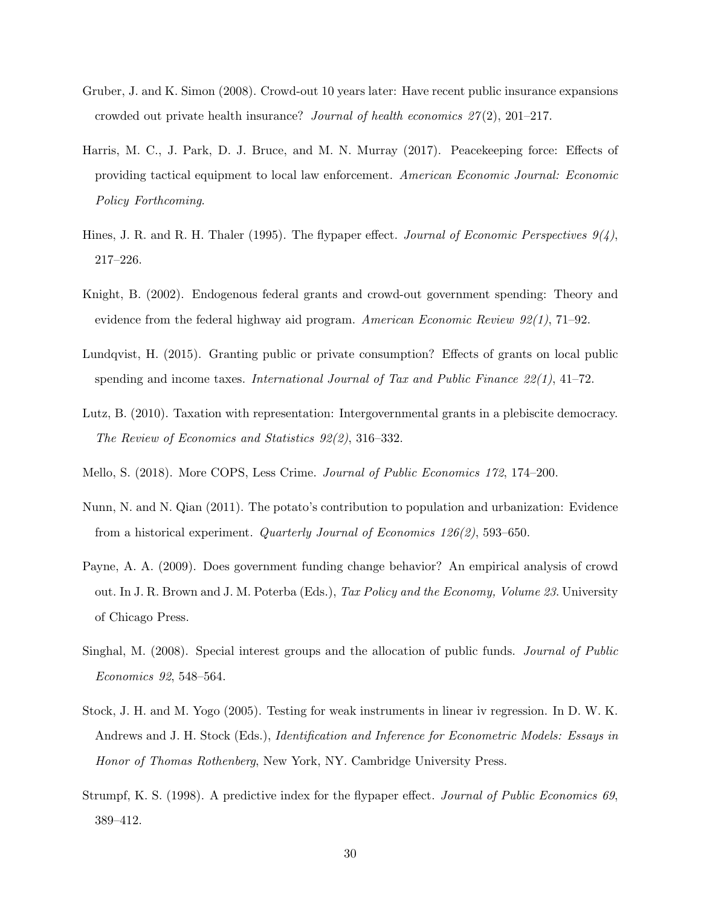- <span id="page-29-5"></span>Gruber, J. and K. Simon (2008). Crowd-out 10 years later: Have recent public insurance expansions crowded out private health insurance? Journal of health economics  $27(2)$ , 201–217.
- <span id="page-29-6"></span>Harris, M. C., J. Park, D. J. Bruce, and M. N. Murray (2017). Peacekeeping force: Effects of providing tactical equipment to local law enforcement. American Economic Journal: Economic Policy Forthcoming.
- <span id="page-29-1"></span>Hines, J. R. and R. H. Thaler (1995). The flypaper effect. *Journal of Economic Perspectives*  $9/4$ . 217–226.
- <span id="page-29-2"></span>Knight, B. (2002). Endogenous federal grants and crowd-out government spending: Theory and evidence from the federal highway aid program. American Economic Review 92(1), 71–92.
- Lundqvist, H. (2015). Granting public or private consumption? Effects of grants on local public spending and income taxes. International Journal of Tax and Public Finance  $22(1)$ , 41–72.
- <span id="page-29-0"></span>Lutz, B. (2010). Taxation with representation: Intergovernmental grants in a plebiscite democracy. The Review of Economics and Statistics 92(2), 316–332.
- <span id="page-29-8"></span>Mello, S. (2018). More COPS, Less Crime. Journal of Public Economics 172, 174–200.
- Nunn, N. and N. Qian (2011). The potato's contribution to population and urbanization: Evidence from a historical experiment. Quarterly Journal of Economics 126(2), 593–650.
- <span id="page-29-4"></span>Payne, A. A. (2009). Does government funding change behavior? An empirical analysis of crowd out. In J. R. Brown and J. M. Poterba (Eds.), Tax Policy and the Economy, Volume 23. University of Chicago Press.
- Singhal, M. (2008). Special interest groups and the allocation of public funds. Journal of Public Economics 92, 548–564.
- <span id="page-29-7"></span>Stock, J. H. and M. Yogo (2005). Testing for weak instruments in linear iv regression. In D. W. K. Andrews and J. H. Stock (Eds.), Identification and Inference for Econometric Models: Essays in Honor of Thomas Rothenberg, New York, NY. Cambridge University Press.
- <span id="page-29-3"></span>Strumpf, K. S. (1998). A predictive index for the flypaper effect. Journal of Public Economics 69, 389–412.